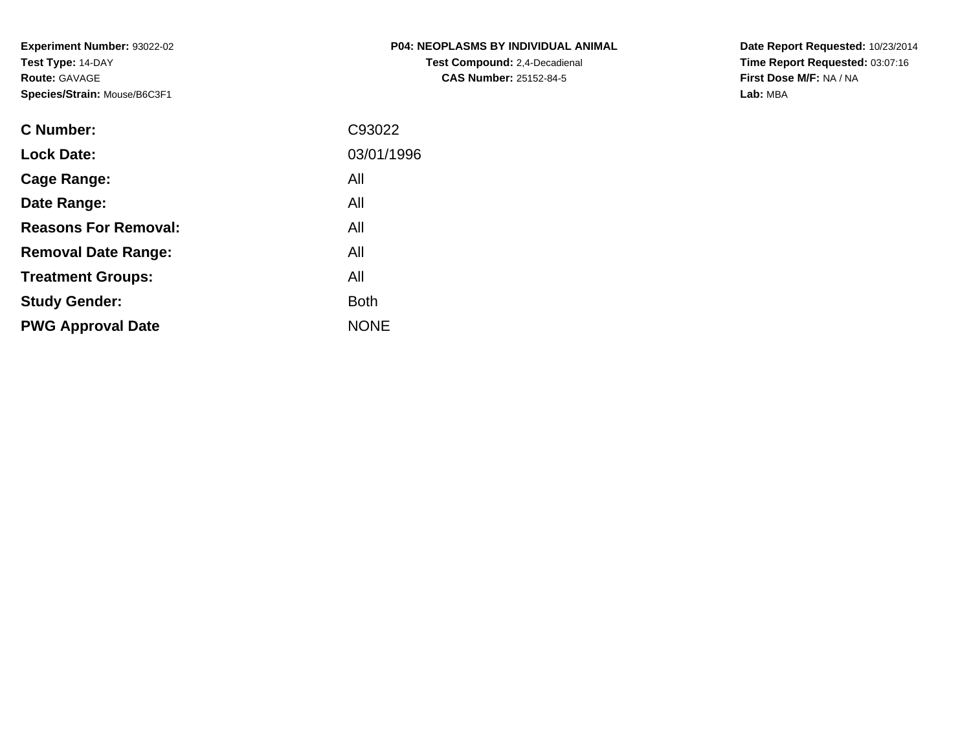| P04: NEOPLASMS BY INDIVIDUAL ANIMAL  |
|--------------------------------------|
| <b>Test Compound:</b> 2,4-Decadienal |
| <b>CAS Number: 25152-84-5</b>        |

**Date Report Requested:** 10/23/2014 **Time Report Requested:** 03:07:16**First Dose M/F:** NA / NA**Lab:** MBA

| <b>C</b> Number:            | C93022      |
|-----------------------------|-------------|
| <b>Lock Date:</b>           | 03/01/1996  |
| Cage Range:                 | All         |
| Date Range:                 | All         |
| <b>Reasons For Removal:</b> | All         |
| <b>Removal Date Range:</b>  | All         |
| <b>Treatment Groups:</b>    | All         |
| <b>Study Gender:</b>        | <b>Both</b> |
| <b>PWG Approval Date</b>    | <b>NONE</b> |
|                             |             |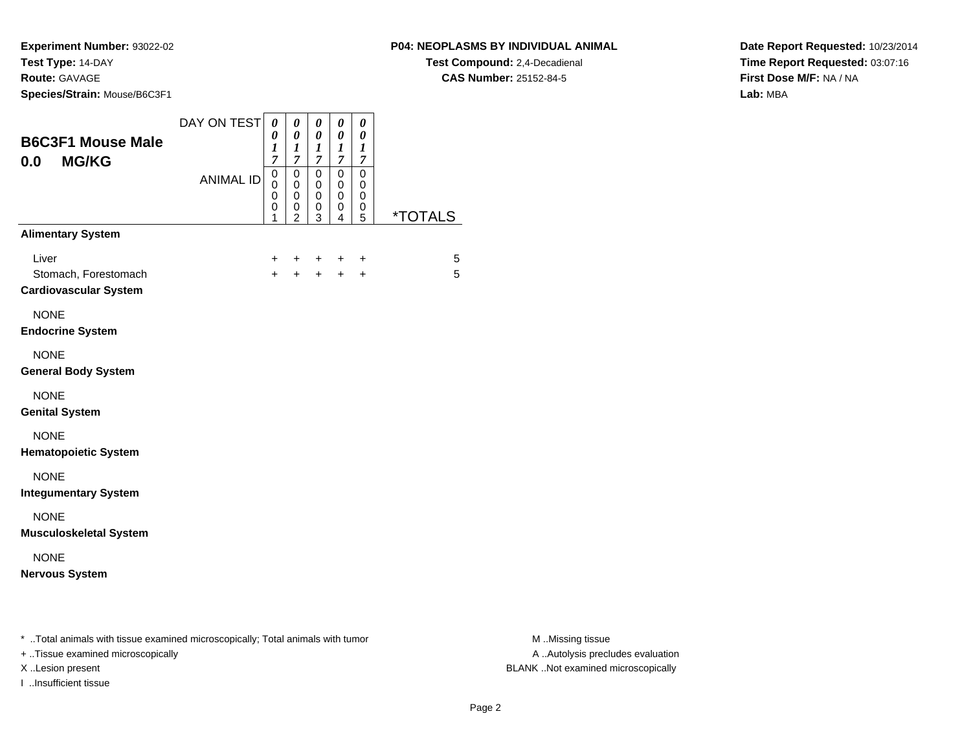**Experiment Number:** 93022-02**Test Type:** 14-DAY

### **Route:** GAVAGE

**Species/Strain:** Mouse/B6C3F1

### **P04: NEOPLASMS BY INDIVIDUAL ANIMAL**

**Test Compound:** 2,4-Decadienal **CAS Number:** 25152-84-5

**Date Report Requested:** 10/23/2014**Time Report Requested:** 03:07:16**First Dose M/F:** NA / NA**Lab:** MBA

| <b>B6C3F1 Mouse Male</b><br><b>MG/KG</b><br>0.0                                                                     | DAY ON TEST      | 0<br>0<br>$\boldsymbol{l}$<br>7           | 0<br>0<br>$\boldsymbol{l}$<br>7                                  | 0<br>0<br>$\boldsymbol{l}$<br>$\overline{7}$ | 0<br>0<br>1<br>7      | 0<br>$\pmb{\theta}$<br>$\boldsymbol{l}$<br>7 |                       |
|---------------------------------------------------------------------------------------------------------------------|------------------|-------------------------------------------|------------------------------------------------------------------|----------------------------------------------|-----------------------|----------------------------------------------|-----------------------|
|                                                                                                                     | <b>ANIMAL ID</b> | $\mathbf 0$<br>0<br>$\mathbf 0$<br>0<br>1 | $\mathbf 0$<br>$\mathbf 0$<br>$\mathbf 0$<br>0<br>$\overline{2}$ | 0<br>$\mathbf 0$<br>0<br>0<br>3              | 0<br>0<br>0<br>0<br>4 | 0<br>0<br>0<br>0<br>5                        | <i><b>*TOTALS</b></i> |
| <b>Alimentary System</b>                                                                                            |                  |                                           |                                                                  |                                              |                       |                                              |                       |
| Liver<br>Stomach, Forestomach<br><b>Cardiovascular System</b>                                                       |                  | +<br>$\ddot{}$                            | +<br>$\ddot{}$                                                   | +<br>$+$                                     | $+$                   | +<br>$+$                                     | 5<br>5                |
| <b>NONE</b><br><b>Endocrine System</b>                                                                              |                  |                                           |                                                                  |                                              |                       |                                              |                       |
| <b>NONE</b><br><b>General Body System</b>                                                                           |                  |                                           |                                                                  |                                              |                       |                                              |                       |
| <b>NONE</b><br><b>Genital System</b>                                                                                |                  |                                           |                                                                  |                                              |                       |                                              |                       |
| <b>NONE</b><br><b>Hematopoietic System</b>                                                                          |                  |                                           |                                                                  |                                              |                       |                                              |                       |
| <b>NONE</b><br><b>Integumentary System</b>                                                                          |                  |                                           |                                                                  |                                              |                       |                                              |                       |
| <b>NONE</b><br><b>Musculoskeletal System</b>                                                                        |                  |                                           |                                                                  |                                              |                       |                                              |                       |
| <b>NONE</b><br><b>Nervous System</b>                                                                                |                  |                                           |                                                                  |                                              |                       |                                              |                       |
| * Total animals with tissue examined microscopically; Total animals with tumor<br>+ Tissue examined microscopically |                  |                                           |                                                                  |                                              |                       |                                              |                       |

I ..Insufficient tissue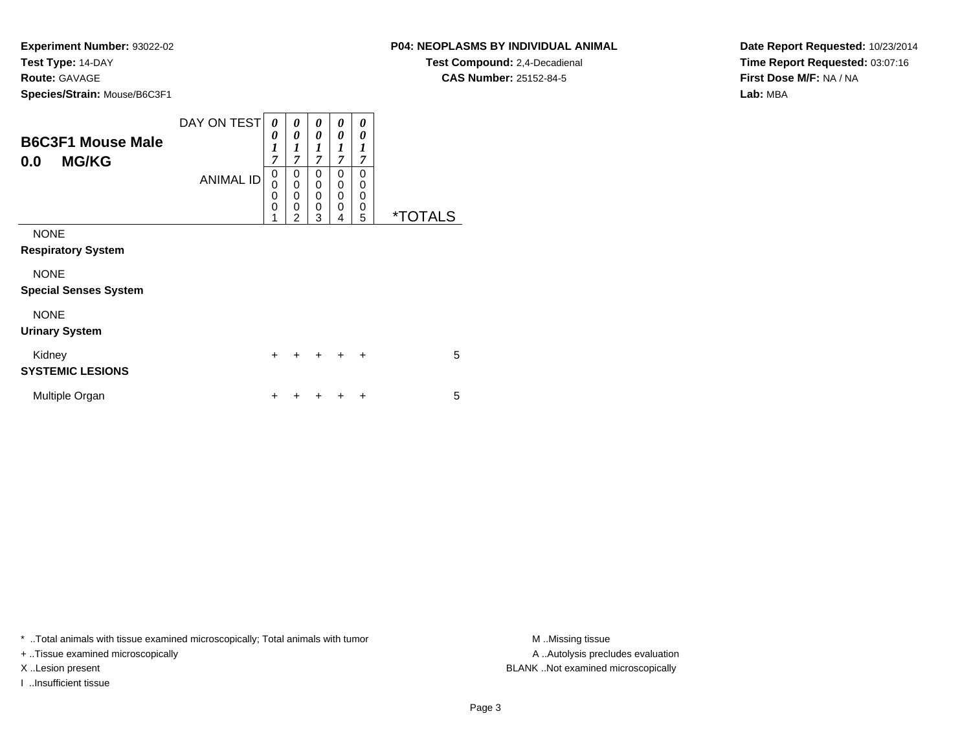**Experiment Number:** 93022-02**Test Type:** 14-DAY**Route:** GAVAGE

**Species/Strain:** Mouse/B6C3F1

| <b>P04: NEOPLASMS BY INDIVIDUAL ANIMAL</b> |
|--------------------------------------------|
|--------------------------------------------|

**Test Compound:** 2,4-Decadienal **CAS Number:** 25152-84-5

**Date Report Requested:** 10/23/2014**Time Report Requested:** 03:07:16**First Dose M/F:** NA / NA**Lab:** MBA

| <b>B6C3F1 Mouse Male</b><br><b>MG/KG</b><br>0.0 | DAY ON TEST<br><b>ANIMAL ID</b> | 0<br>0<br>1<br>7<br>$\mathbf 0$<br>0<br>$\mathbf 0$<br>$\mathbf 0$<br>1 | 0<br>0<br>1<br>7<br>0<br>0<br>$\mathbf 0$<br>0<br>$\mathfrak{p}$ | 0<br>0<br>1<br>$\overline{7}$<br>0<br>0<br>0<br>0<br>3 | 0<br>0<br>1<br>$\overline{7}$<br>0<br>0<br>0<br>0<br>4 | 0<br>0<br>1<br>$\overline{7}$<br>0<br>0<br>0<br>0<br>5 | <i><b>*TOTALS</b></i> |
|-------------------------------------------------|---------------------------------|-------------------------------------------------------------------------|------------------------------------------------------------------|--------------------------------------------------------|--------------------------------------------------------|--------------------------------------------------------|-----------------------|
| <b>NONE</b><br><b>Respiratory System</b>        |                                 |                                                                         |                                                                  |                                                        |                                                        |                                                        |                       |
| <b>NONE</b><br><b>Special Senses System</b>     |                                 |                                                                         |                                                                  |                                                        |                                                        |                                                        |                       |
| <b>NONE</b><br><b>Urinary System</b>            |                                 |                                                                         |                                                                  |                                                        |                                                        |                                                        |                       |
| Kidney<br><b>SYSTEMIC LESIONS</b>               |                                 | $\ddot{}$                                                               | $\div$                                                           | $\ddot{}$                                              | $\ddot{}$                                              | $\ddot{}$                                              | 5                     |
| Multiple Organ                                  |                                 | +                                                                       |                                                                  |                                                        |                                                        | ÷                                                      | 5                     |

\* ..Total animals with tissue examined microscopically; Total animals with tumor **M** ..Missing tissue M ..Missing tissue

+ ..Tissue examined microscopically

I ..Insufficient tissue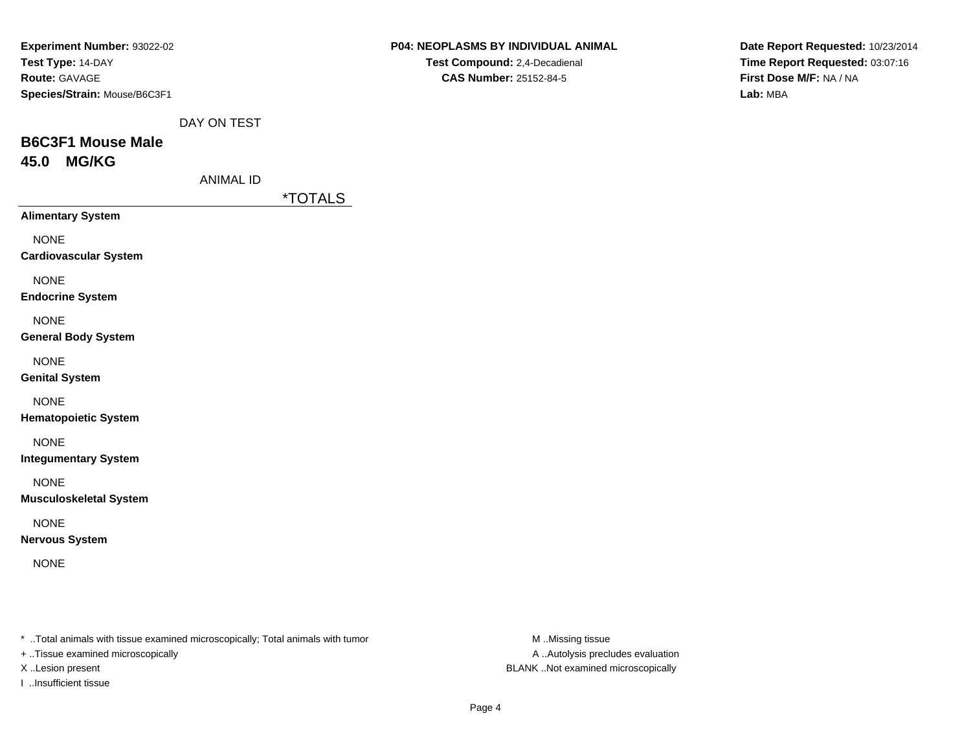| <b>Experiment Number: 93022-02</b> |  |
|------------------------------------|--|
| Test Type: 14-DAY                  |  |
| <b>Route: GAVAGE</b>               |  |
| Species/Strain: Mouse/B6C3F1       |  |

| P04: NEOPLASMS BY INDIVIDUAL ANIMAL  |
|--------------------------------------|
| <b>Test Compound: 2,4-Decadienal</b> |

**CAS Number:** 25152-84-5

**Date Report Requested:** 10/23/2014**Time Report Requested:** 03:07:16**First Dose M/F:** NA / NA**Lab:** MBA

DAY ON TEST

## **B6C3F1 Mouse Male45.0 MG/KG**

ANIMAL ID

\*TOTALS

**Alimentary System**

NONE

**Cardiovascular System**

NONE

**Endocrine System**

NONE

**General Body System**

NONE

**Genital System**

NONE

**Hematopoietic System**

NONE

**Integumentary System**

NONE

**Musculoskeletal System**

NONE

**Nervous System**

NONE

\* ..Total animals with tissue examined microscopically; Total animals with tumor **M** ...Missing tissue M ...Missing tissue

+ ..Tissue examined microscopically

I ..Insufficient tissue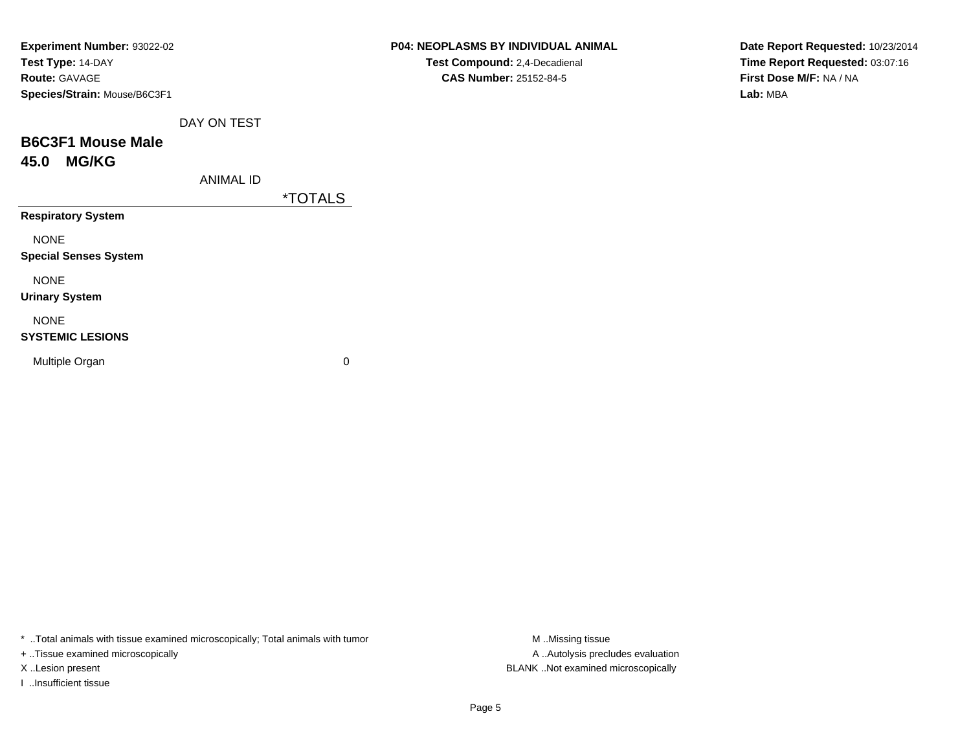| Experiment Number: 93022-02<br>Test Type: 14-DAY |                       | <b>P04: NEOPLASMS BY INDIVIDUAL ANIMAL</b><br>Test Compound: 2,4-Decadienal |
|--------------------------------------------------|-----------------------|-----------------------------------------------------------------------------|
| Route: GAVAGE                                    |                       | CAS Number: 25152-84-5                                                      |
| Species/Strain: Mouse/B6C3F1                     |                       |                                                                             |
| DAY ON TEST                                      |                       |                                                                             |
| <b>B6C3F1 Mouse Male</b>                         |                       |                                                                             |
| <b>MG/KG</b><br>45.0                             |                       |                                                                             |
| <b>ANIMAL ID</b>                                 |                       |                                                                             |
|                                                  | <i><b>*TOTALS</b></i> |                                                                             |
| <b>Respiratory System</b>                        |                       |                                                                             |
| <b>NONE</b>                                      |                       |                                                                             |
| <b>Special Senses System</b>                     |                       |                                                                             |
| <b>NONE</b>                                      |                       |                                                                             |
| <b>Urinary System</b>                            |                       |                                                                             |
| <b>NONE</b>                                      |                       |                                                                             |
| <b>SYSTEMIC LESIONS</b>                          |                       |                                                                             |
| Multiple Organ                                   | $\mathbf 0$           |                                                                             |
|                                                  |                       |                                                                             |

**Date Report Requested:** 10/23/2014**Time Report Requested:** 03:07:16**First Dose M/F:** NA / NA**Lab:** MBA

\* ..Total animals with tissue examined microscopically; Total animals with tumor M..Missing tissue M ..Missing tissue

+ ..Tissue examined microscopically

I ..Insufficient tissue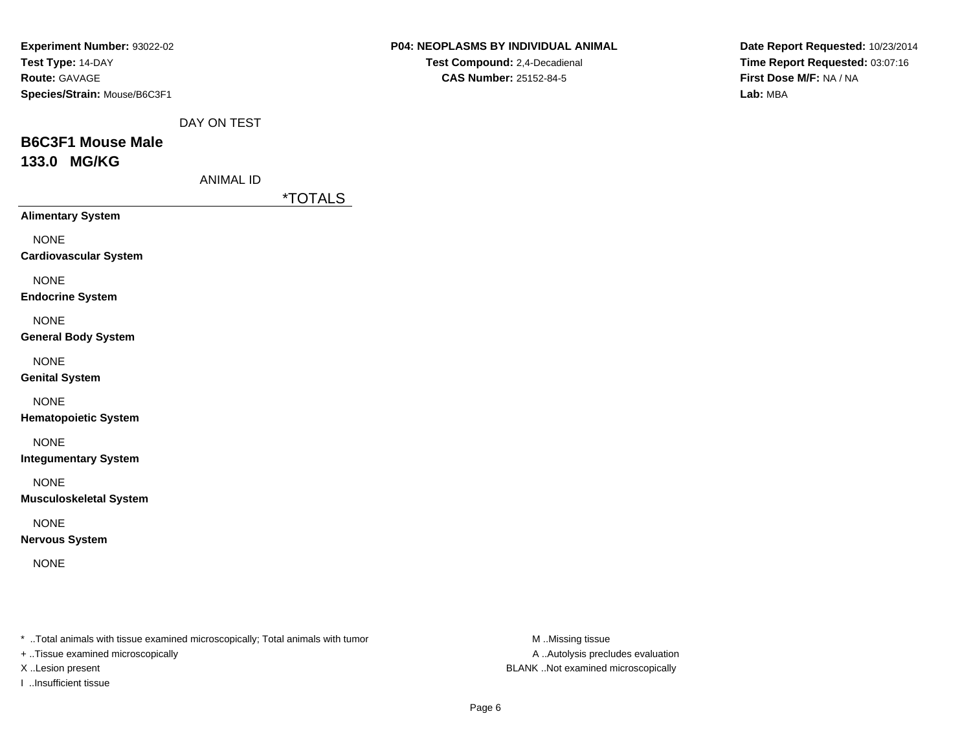| <b>Experiment Number: 93022-02</b>  |             |
|-------------------------------------|-------------|
| <b>Test Type: 14-DAY</b>            |             |
| <b>Route: GAVAGE</b>                |             |
| <b>Species/Strain: Mouse/B6C3F1</b> |             |
|                                     | DAY ON TEST |
| <b>B6C3F1 Mouse Male</b>            |             |

# **133.0 MG/KG**

ANIMAL ID

\*TOTALS

**Alimentary System**

NONE

**Cardiovascular System**

NONE

**Endocrine System**

NONE

**General Body System**

NONE

**Genital System**

NONE

**Hematopoietic System**

NONE

**Integumentary System**

NONE

**Musculoskeletal System**

NONE

**Nervous System**

NONE

\* ..Total animals with tissue examined microscopically; Total animals with tumor **M** ..Missing tissue M ..Missing tissue

+ ..Tissue examined microscopically

X ..Lesion present BLANK ..Not examined microscopically

I ..Insufficient tissue

**P04: NEOPLASMS BY INDIVIDUAL ANIMALTest Compound:** 2,4-Decadienal

**CAS Number:** 25152-84-5

**Date Report Requested:** 10/23/2014**Time Report Requested:** 03:07:16**First Dose M/F:** NA / NA**Lab:** MBA

A .. Autolysis precludes evaluation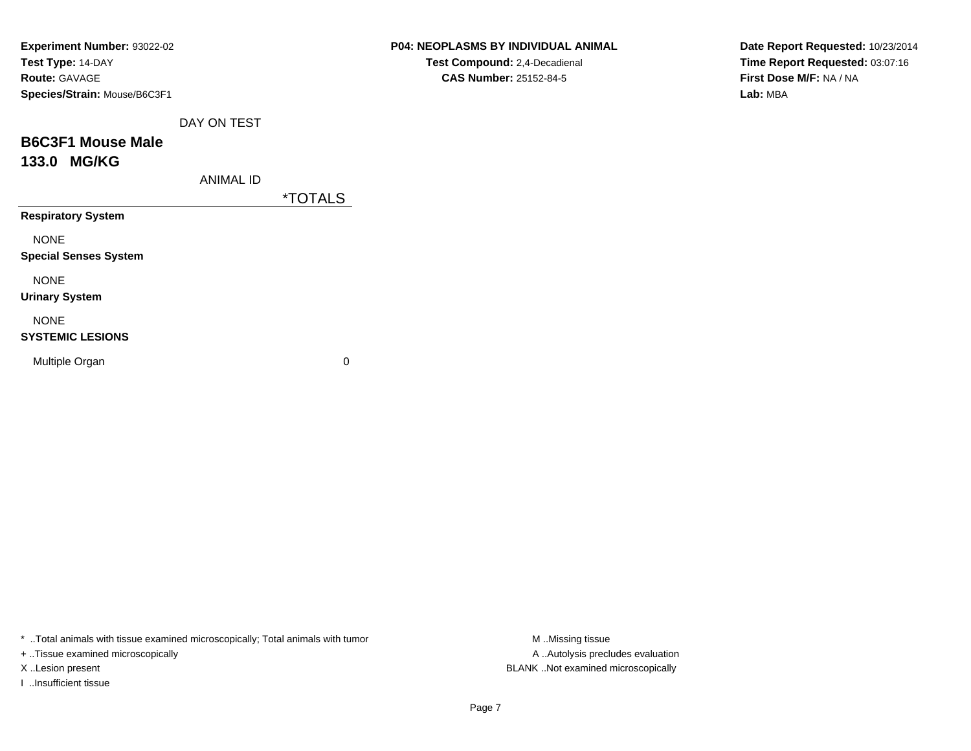| <b>Experiment Number: 93022-02</b> |                  |                       | <b>P04: NEOPLASMS BY INDIVIDUAL ANIMAL</b> |
|------------------------------------|------------------|-----------------------|--------------------------------------------|
| Test Type: 14-DAY                  |                  |                       | Test Compound: 2,4-Decadienal              |
| <b>Route: GAVAGE</b>               |                  |                       | CAS Number: 25152-84-5                     |
| Species/Strain: Mouse/B6C3F1       |                  |                       |                                            |
|                                    | DAY ON TEST      |                       |                                            |
| <b>B6C3F1 Mouse Male</b>           |                  |                       |                                            |
| 133.0 MG/KG                        |                  |                       |                                            |
|                                    | <b>ANIMAL ID</b> |                       |                                            |
|                                    |                  | <i><b>*TOTALS</b></i> |                                            |
| <b>Respiratory System</b>          |                  |                       |                                            |
| <b>NONE</b>                        |                  |                       |                                            |
| <b>Special Senses System</b>       |                  |                       |                                            |
| <b>NONE</b>                        |                  |                       |                                            |
| <b>Urinary System</b>              |                  |                       |                                            |
| <b>NONE</b>                        |                  |                       |                                            |
| <b>SYSTEMIC LESIONS</b>            |                  |                       |                                            |
| Multiple Organ                     |                  | 0                     |                                            |
|                                    |                  |                       |                                            |
|                                    |                  |                       |                                            |

**Date Report Requested:** 10/23/2014**Time Report Requested:** 03:07:16**First Dose M/F:** NA / NA**Lab:** MBA

\* ..Total animals with tissue examined microscopically; Total animals with tumor M..Missing tissue

+ ..Tissue examined microscopically

I ..Insufficient tissue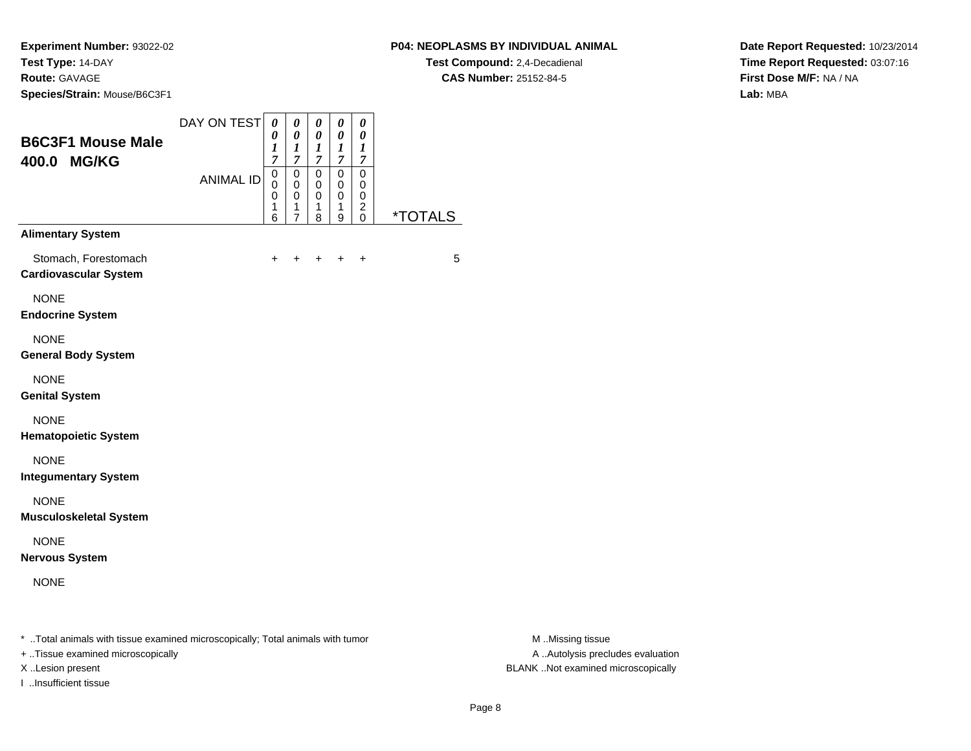### **P04: NEOPLASMS BY INDIVIDUAL ANIMAL**

**Test Compound:** 2,4-Decadienal **CAS Number:** 25152-84-5

**Date Report Requested:** 10/23/2014**Time Report Requested:** 03:07:16**First Dose M/F:** NA / NA**Lab:** MBA

| <b>B6C3F1 Mouse Male</b>                             | DAY ON TEST                                                                    | $\boldsymbol{\theta}$<br>0<br>1           | 0<br>$\pmb{\theta}$<br>1                                  | 0<br>$\pmb{\theta}$<br>$\boldsymbol{l}$                                 | $\boldsymbol{\theta}$<br>$\pmb{\theta}$<br>$\boldsymbol{l}$                      | $\boldsymbol{\theta}$<br>$\boldsymbol{\theta}$<br>$\boldsymbol{l}$   |                       |                  |
|------------------------------------------------------|--------------------------------------------------------------------------------|-------------------------------------------|-----------------------------------------------------------|-------------------------------------------------------------------------|----------------------------------------------------------------------------------|----------------------------------------------------------------------|-----------------------|------------------|
| 400.0 MG/KG                                          | <b>ANIMAL ID</b>                                                               | 7<br>$\pmb{0}$<br>$\Omega$<br>0<br>1<br>6 | $\overline{7}$<br>$\pmb{0}$<br>$\mathbf 0$<br>0<br>1<br>7 | $\boldsymbol{7}$<br>$\mathsf 0$<br>$\mathbf 0$<br>$\mathbf 0$<br>1<br>8 | $\overline{7}$<br>$\pmb{0}$<br>$\mathbf 0$<br>$\pmb{0}$<br>1<br>$\boldsymbol{9}$ | $\boldsymbol{7}$<br>$\overline{0}$<br>0<br>$\,0\,$<br>2<br>$\pmb{0}$ | <i><b>*TOTALS</b></i> |                  |
| <b>Alimentary System</b>                             |                                                                                |                                           |                                                           |                                                                         |                                                                                  |                                                                      |                       |                  |
| Stomach, Forestomach<br><b>Cardiovascular System</b> |                                                                                |                                           |                                                           |                                                                         |                                                                                  | $\ddot{}$                                                            | 5                     |                  |
| <b>NONE</b><br><b>Endocrine System</b>               |                                                                                |                                           |                                                           |                                                                         |                                                                                  |                                                                      |                       |                  |
| <b>NONE</b><br><b>General Body System</b>            |                                                                                |                                           |                                                           |                                                                         |                                                                                  |                                                                      |                       |                  |
| <b>NONE</b><br><b>Genital System</b>                 |                                                                                |                                           |                                                           |                                                                         |                                                                                  |                                                                      |                       |                  |
| <b>NONE</b><br><b>Hematopoietic System</b>           |                                                                                |                                           |                                                           |                                                                         |                                                                                  |                                                                      |                       |                  |
| <b>NONE</b><br><b>Integumentary System</b>           |                                                                                |                                           |                                                           |                                                                         |                                                                                  |                                                                      |                       |                  |
| <b>NONE</b><br><b>Musculoskeletal System</b>         |                                                                                |                                           |                                                           |                                                                         |                                                                                  |                                                                      |                       |                  |
| <b>NONE</b><br><b>Nervous System</b>                 |                                                                                |                                           |                                                           |                                                                         |                                                                                  |                                                                      |                       |                  |
| <b>NONE</b>                                          |                                                                                |                                           |                                                           |                                                                         |                                                                                  |                                                                      |                       |                  |
|                                                      | * Total animals with tissue examined microscopically; Total animals with tumor |                                           |                                                           |                                                                         |                                                                                  |                                                                      |                       | M Missing tissue |

+ ..Tissue examined microscopically

I ..Insufficient tissue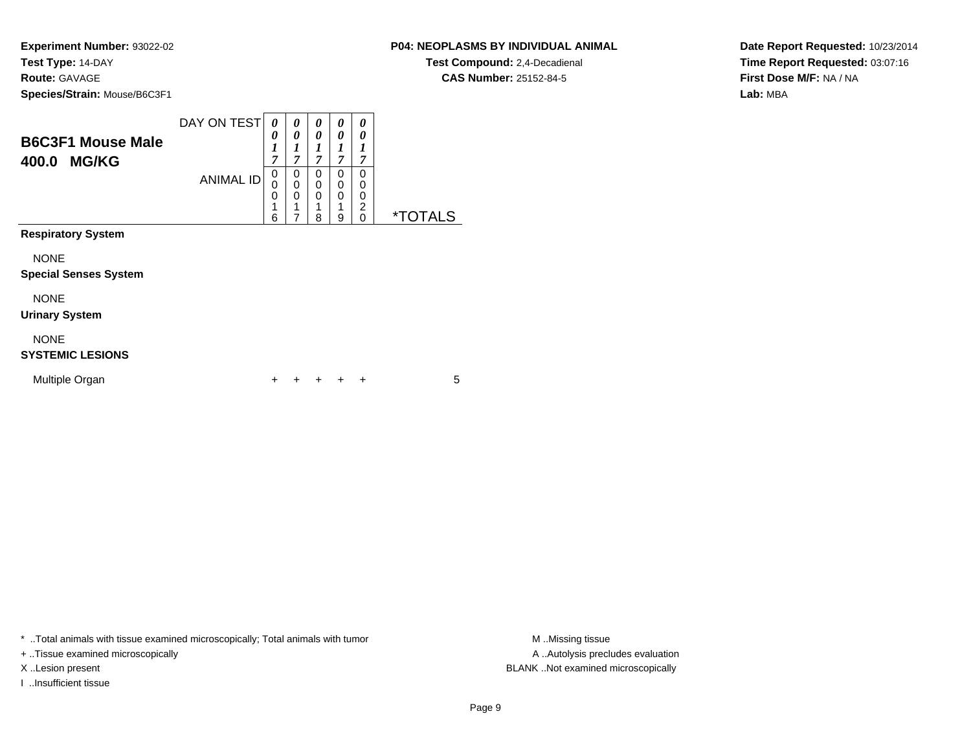### **P04: NEOPLASMS BY INDIVIDUAL ANIMAL**

**Test Compound:** 2,4-Decadienal **CAS Number:** 25152-84-5

**Date Report Requested:** 10/23/2014**Time Report Requested:** 03:07:16**First Dose M/F:** NA / NA**Lab:** MBA

| <b>B6C3F1 Mouse Male</b><br>400.0 MG/KG     | DAY ON TEST<br><b>ANIMAL ID</b> | 0<br>0<br>1<br>7<br>$\mathbf 0$<br>0<br>0<br>6 | 0<br>0<br>1<br>$\overline{7}$<br>0<br>0<br>0<br>1<br>7 | 0<br>0<br>1<br>$\overline{7}$<br>0<br>0<br>0<br>1<br>8 | 0<br>0<br>1<br>7<br>0<br>0<br>0<br>1<br>9 | 0<br>0<br>1<br>7<br>0<br>0<br>0<br>2<br>$\Omega$ | <i><b>*TOTALS</b></i> |  |
|---------------------------------------------|---------------------------------|------------------------------------------------|--------------------------------------------------------|--------------------------------------------------------|-------------------------------------------|--------------------------------------------------|-----------------------|--|
| <b>Respiratory System</b>                   |                                 |                                                |                                                        |                                                        |                                           |                                                  |                       |  |
| <b>NONE</b><br><b>Special Senses System</b> |                                 |                                                |                                                        |                                                        |                                           |                                                  |                       |  |
| <b>NONE</b><br><b>Urinary System</b>        |                                 |                                                |                                                        |                                                        |                                           |                                                  |                       |  |
| <b>NONE</b><br><b>SYSTEMIC LESIONS</b>      |                                 |                                                |                                                        |                                                        |                                           |                                                  |                       |  |
| Multiple Organ                              |                                 | +                                              |                                                        | ÷                                                      | ÷                                         | ÷                                                | 5                     |  |

\* ..Total animals with tissue examined microscopically; Total animals with tumor **M** . Missing tissue M ..Missing tissue

+ ..Tissue examined microscopically

I ..Insufficient tissue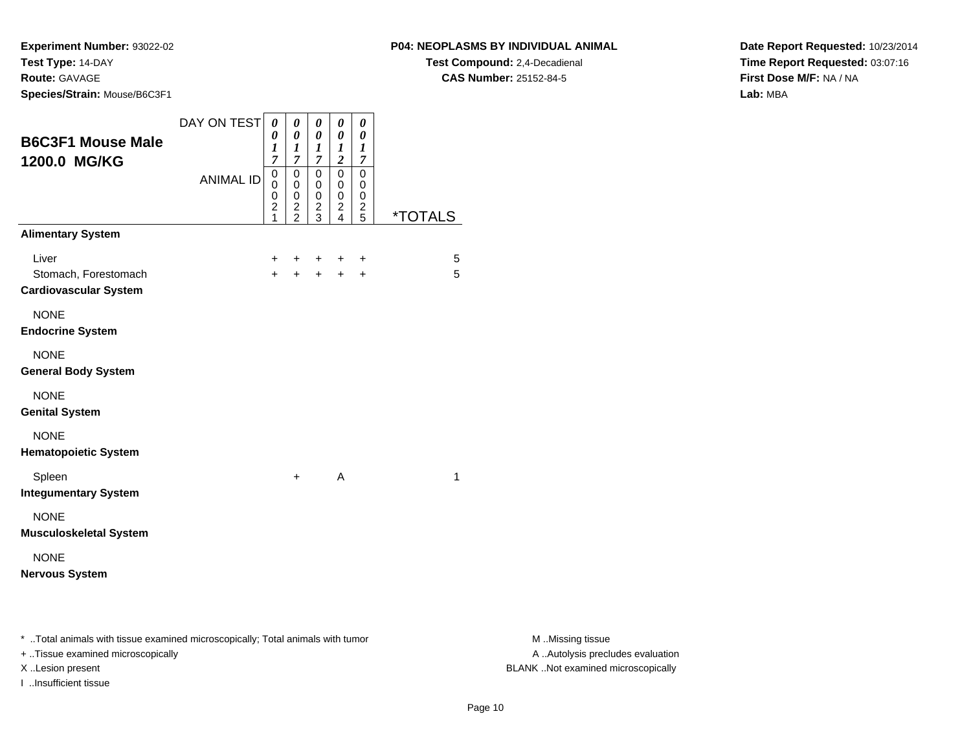**P04: NEOPLASMS BY INDIVIDUAL ANIMAL**

**Test Compound:** 2,4-Decadienal **CAS Number:** 25152-84-5

**Date Report Requested:** 10/23/2014**Time Report Requested:** 03:07:16**First Dose M/F:** NA / NA**Lab:** MBA

| <b>B6C3F1 Mouse Male</b><br>1200.0 MG/KG                      | DAY ON TEST<br><b>ANIMAL ID</b> | $\pmb{\theta}$<br>0<br>$\boldsymbol{l}$<br>7<br>0<br>0<br>0<br>$\overline{\mathbf{c}}$<br>1 | $\boldsymbol{\theta}$<br>$\boldsymbol{\theta}$<br>$\boldsymbol{l}$<br>$\overline{7}$<br>$\mathbf 0$<br>0<br>$\mathbf 0$<br>$\overline{\mathbf{c}}$<br>$\overline{2}$ | 0<br>0<br>1<br>7<br>$\mathbf 0$<br>0<br>0<br>$\overline{\mathbf{c}}$<br>3 | 0<br>0<br>$\bm{l}$<br>$\overline{c}$<br>0<br>0<br>0<br>$\overline{\mathbf{c}}$<br>$\overline{4}$ | $\boldsymbol{\theta}$<br>0<br>1<br>7<br>$\mathbf 0$<br>0<br>0<br>$\frac{2}{5}$ | <i><b>*TOTALS</b></i> |
|---------------------------------------------------------------|---------------------------------|---------------------------------------------------------------------------------------------|----------------------------------------------------------------------------------------------------------------------------------------------------------------------|---------------------------------------------------------------------------|--------------------------------------------------------------------------------------------------|--------------------------------------------------------------------------------|-----------------------|
| <b>Alimentary System</b>                                      |                                 |                                                                                             |                                                                                                                                                                      |                                                                           |                                                                                                  |                                                                                |                       |
| Liver<br>Stomach, Forestomach<br><b>Cardiovascular System</b> |                                 | +<br>$+$                                                                                    | $+$<br>$+$                                                                                                                                                           | $\ddot{}$<br>$+$                                                          | $\ddot{}$<br>$+$                                                                                 | $\ddot{}$<br>$\ddot{}$                                                         | 5<br>5                |
| <b>NONE</b><br><b>Endocrine System</b>                        |                                 |                                                                                             |                                                                                                                                                                      |                                                                           |                                                                                                  |                                                                                |                       |
| <b>NONE</b><br><b>General Body System</b>                     |                                 |                                                                                             |                                                                                                                                                                      |                                                                           |                                                                                                  |                                                                                |                       |
| <b>NONE</b><br><b>Genital System</b>                          |                                 |                                                                                             |                                                                                                                                                                      |                                                                           |                                                                                                  |                                                                                |                       |
| <b>NONE</b><br><b>Hematopoietic System</b>                    |                                 |                                                                                             |                                                                                                                                                                      |                                                                           |                                                                                                  |                                                                                |                       |
| Spleen<br><b>Integumentary System</b>                         |                                 |                                                                                             | $+$                                                                                                                                                                  |                                                                           | A                                                                                                |                                                                                | $\mathbf{1}$          |
| <b>NONE</b><br><b>Musculoskeletal System</b>                  |                                 |                                                                                             |                                                                                                                                                                      |                                                                           |                                                                                                  |                                                                                |                       |
| <b>NONE</b><br><b>Nervous System</b>                          |                                 |                                                                                             |                                                                                                                                                                      |                                                                           |                                                                                                  |                                                                                |                       |

\* ..Total animals with tissue examined microscopically; Total animals with tumor **M** . Missing tissue M ..Missing tissue

+ ..Tissue examined microscopically

I ..Insufficient tissue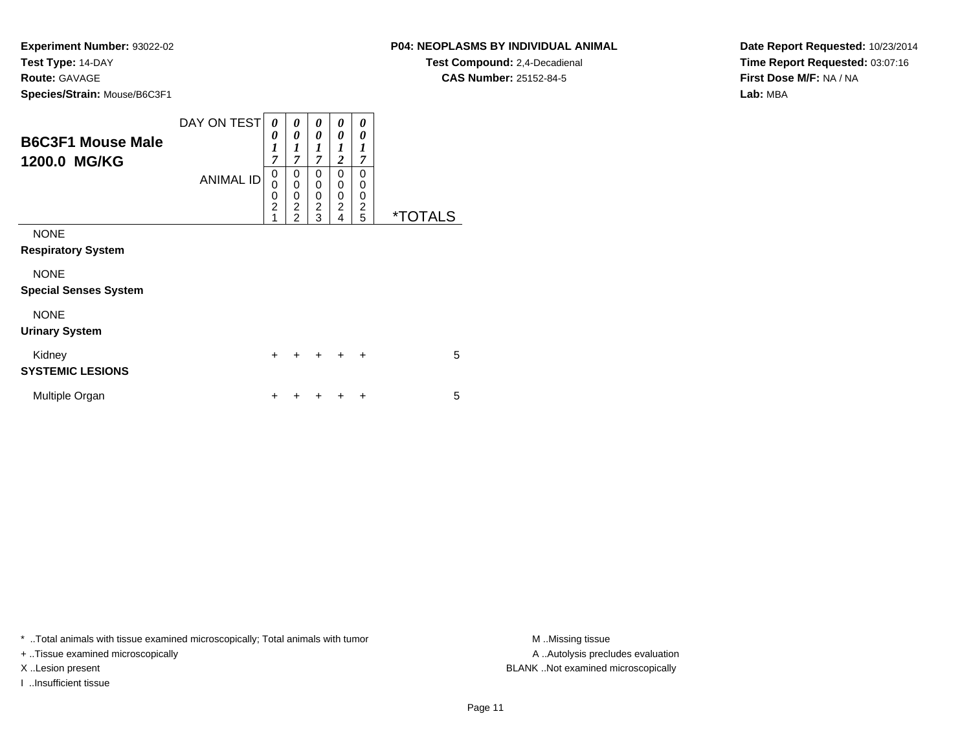#### **P04: NEOPLASMS BY INDIVIDUAL ANIMAL**

**Test Compound:** 2,4-Decadienal **CAS Number:** 25152-84-5

**Date Report Requested:** 10/23/2014**Time Report Requested:** 03:07:16**First Dose M/F:** NA / NA**Lab:** MBA

| <b>B6C3F1 Mouse Male</b><br>1200.0 MG/KG                             | DAY ON TEST<br><b>ANIMAL ID</b> | 0<br>0<br>1<br>$\overline{7}$<br>0<br>$\mathbf 0$<br>$\mathbf 0$<br>$\overline{2}$ | 0<br>0<br>1<br>$\overline{7}$<br>0<br>0<br>$\mathbf 0$<br>$\overline{c}$ | 0<br>0<br>$\boldsymbol{l}$<br>$\overline{7}$<br>$\Omega$<br>0<br>0<br>$\overline{c}$ | 0<br>0<br>1<br>$\overline{2}$<br>$\mathbf{0}$<br>$\mathbf 0$<br>0<br>$\overline{2}$ | 0<br>0<br>$\boldsymbol{l}$<br>$\overline{7}$<br>$\Omega$<br>0<br>0<br>$\overline{c}$ |                       |
|----------------------------------------------------------------------|---------------------------------|------------------------------------------------------------------------------------|--------------------------------------------------------------------------|--------------------------------------------------------------------------------------|-------------------------------------------------------------------------------------|--------------------------------------------------------------------------------------|-----------------------|
| <b>NONE</b><br><b>Respiratory System</b><br><b>NONE</b>              |                                 | 1                                                                                  | $\overline{2}$                                                           | 3                                                                                    | $\overline{4}$                                                                      | 5                                                                                    | <i><b>*TOTALS</b></i> |
| <b>Special Senses System</b><br><b>NONE</b><br><b>Urinary System</b> |                                 |                                                                                    |                                                                          |                                                                                      |                                                                                     |                                                                                      |                       |
| Kidney<br><b>SYSTEMIC LESIONS</b>                                    |                                 | $\ddot{}$                                                                          |                                                                          | ÷                                                                                    | $\div$                                                                              | $\ddot{}$                                                                            | 5                     |
| Multiple Organ                                                       |                                 | ┿                                                                                  |                                                                          |                                                                                      |                                                                                     | ٠                                                                                    | 5                     |

\* ..Total animals with tissue examined microscopically; Total animals with tumor **M** . Missing tissue M ..Missing tissue

+ ..Tissue examined microscopically

I ..Insufficient tissue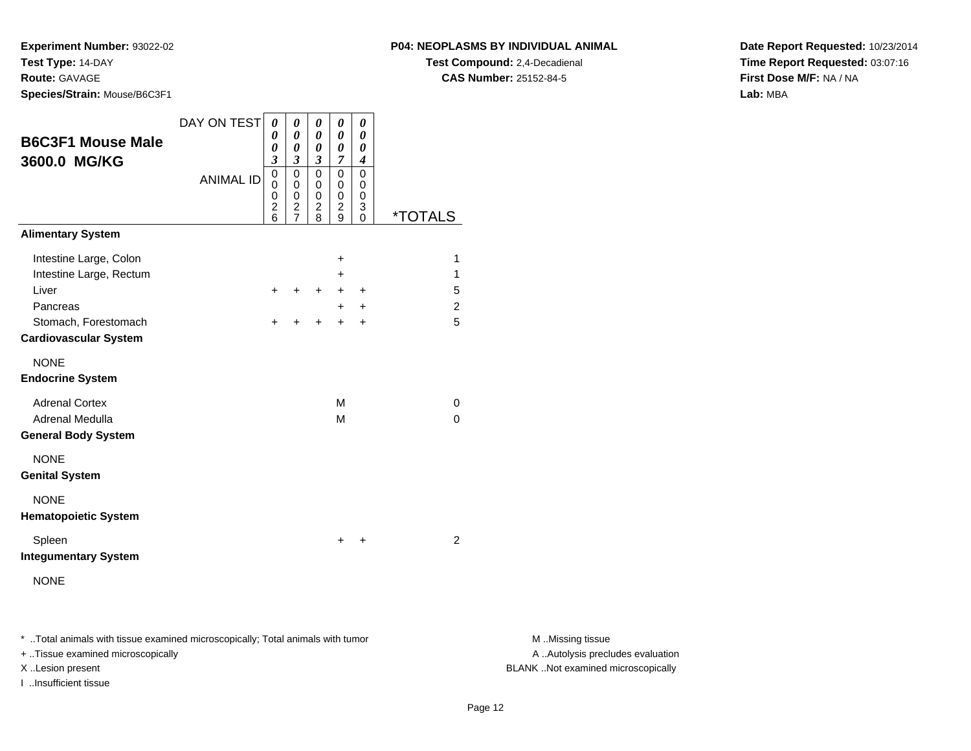#### **P04: NEOPLASMS BY INDIVIDUAL ANIMAL**

**Test Compound:** 2,4-Decadienal **CAS Number:** 25152-84-5

**Date Report Requested:** 10/23/2014**Time Report Requested:** 03:07:16**First Dose M/F:** NA / NA**Lab:** MBA

| <b>B6C3F1 Mouse Male</b><br>3600.0 MG/KG                                                                                       | DAY ON TEST<br><b>ANIMAL ID</b> | 0<br>0<br>0<br>3<br>0<br>0<br>0<br>$\overline{\mathbf{c}}$<br>$\overline{6}$ | 0<br>0<br>0<br>3<br>0<br>0<br>0<br>$\overline{c}$<br>$\overline{7}$ | 0<br>0<br>0<br>$\boldsymbol{\beta}$<br>$\mathbf 0$<br>0<br>0<br>$\overline{c}$<br>$\overline{8}$ | 0<br>0<br>0<br>$\overline{7}$<br>$\Omega$<br>0<br>$\mathbf 0$<br>$\overline{c}$<br>9 | 0<br>0<br>0<br>$\boldsymbol{4}$<br>$\Omega$<br>0<br>0<br>3<br>$\Omega$ | <i><b>*TOTALS</b></i>                         |
|--------------------------------------------------------------------------------------------------------------------------------|---------------------------------|------------------------------------------------------------------------------|---------------------------------------------------------------------|--------------------------------------------------------------------------------------------------|--------------------------------------------------------------------------------------|------------------------------------------------------------------------|-----------------------------------------------|
| <b>Alimentary System</b>                                                                                                       |                                 |                                                                              |                                                                     |                                                                                                  |                                                                                      |                                                                        |                                               |
| Intestine Large, Colon<br>Intestine Large, Rectum<br>Liver<br>Pancreas<br>Stomach, Forestomach<br><b>Cardiovascular System</b> |                                 | +<br>$\pm$                                                                   | +<br>$\ddot{}$                                                      | $\ddot{}$<br>+                                                                                   | +<br>+<br>+<br>$\ddot{}$<br>$\ddot{}$                                                | $\ddot{}$<br>$\ddot{}$<br>+                                            | 1<br>$\mathbf{1}$<br>5<br>$\overline{c}$<br>5 |
| <b>NONE</b><br><b>Endocrine System</b>                                                                                         |                                 |                                                                              |                                                                     |                                                                                                  |                                                                                      |                                                                        |                                               |
| <b>Adrenal Cortex</b><br>Adrenal Medulla<br><b>General Body System</b>                                                         |                                 |                                                                              |                                                                     |                                                                                                  | M<br>M                                                                               |                                                                        | 0<br>$\Omega$                                 |
| <b>NONE</b><br><b>Genital System</b>                                                                                           |                                 |                                                                              |                                                                     |                                                                                                  |                                                                                      |                                                                        |                                               |
| <b>NONE</b><br><b>Hematopoietic System</b>                                                                                     |                                 |                                                                              |                                                                     |                                                                                                  |                                                                                      |                                                                        |                                               |
| Spleen<br><b>Integumentary System</b>                                                                                          |                                 |                                                                              |                                                                     |                                                                                                  | +                                                                                    | ÷                                                                      | $\overline{2}$                                |
| <b>NONE</b>                                                                                                                    |                                 |                                                                              |                                                                     |                                                                                                  |                                                                                      |                                                                        |                                               |

\* ..Total animals with tissue examined microscopically; Total animals with tumor **M** . Missing tissue M ..Missing tissue

+ ..Tissue examined microscopically

I ..Insufficient tissue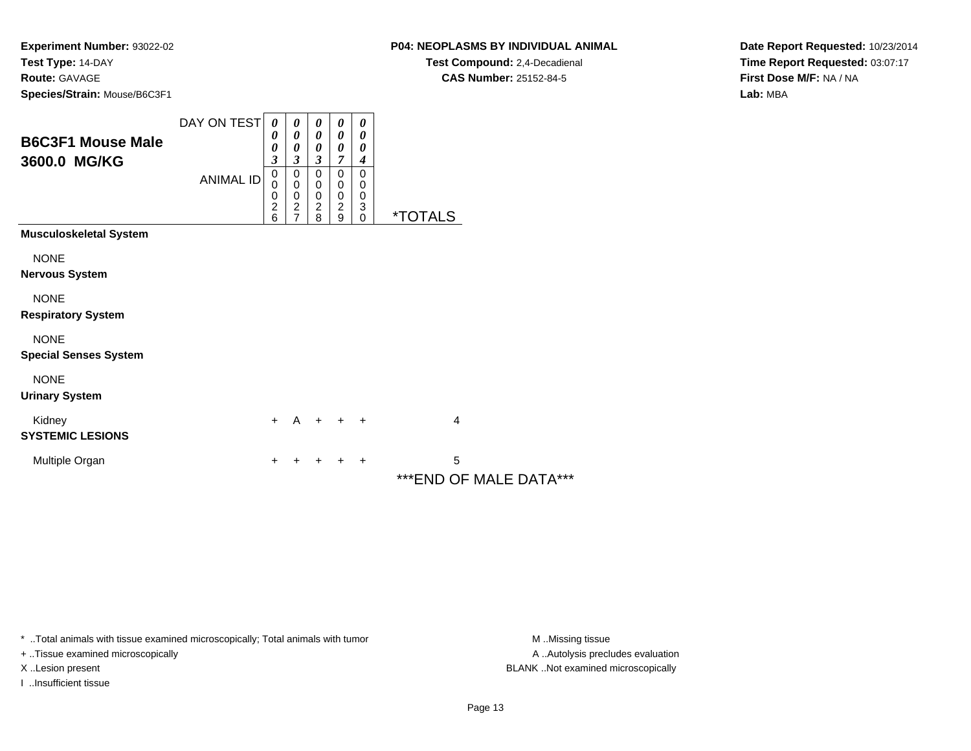### **P04: NEOPLASMS BY INDIVIDUAL ANIMAL**

**Test Compound:** 2,4-Decadienal **CAS Number:** 25152-84-5

**Date Report Requested:** 10/23/2014**Time Report Requested:** 03:07:17**First Dose M/F:** NA / NA**Lab:** MBA

| <b>B6C3F1 Mouse Male</b><br>3600.0 MG/KG    | DAY ON TEST<br><b>ANIMAL ID</b> | $\boldsymbol{\theta}$<br>0<br>0<br>$\mathfrak{z}$<br>$\pmb{0}$<br>0<br>0 | 0<br>0<br>0<br>3<br>$\mathbf 0$<br>0<br>$\pmb{0}$ | 0<br>$\boldsymbol{\theta}$<br>$\boldsymbol{\theta}$<br>$\boldsymbol{\beta}$<br>$\mathbf 0$<br>0<br>$\pmb{0}$ | 0<br>0<br>$\boldsymbol{\theta}$<br>7<br>0<br>0<br>0 | 0<br>0<br>$\boldsymbol{\theta}$<br>$\boldsymbol{4}$<br>0<br>0<br>0 |                             |
|---------------------------------------------|---------------------------------|--------------------------------------------------------------------------|---------------------------------------------------|--------------------------------------------------------------------------------------------------------------|-----------------------------------------------------|--------------------------------------------------------------------|-----------------------------|
|                                             |                                 | $\frac{2}{6}$                                                            | $\frac{2}{7}$                                     | $\frac{2}{8}$                                                                                                | $\frac{2}{9}$                                       | $_0^3$                                                             | <i><b>*TOTALS</b></i>       |
| <b>Musculoskeletal System</b>               |                                 |                                                                          |                                                   |                                                                                                              |                                                     |                                                                    |                             |
| <b>NONE</b><br><b>Nervous System</b>        |                                 |                                                                          |                                                   |                                                                                                              |                                                     |                                                                    |                             |
| <b>NONE</b><br><b>Respiratory System</b>    |                                 |                                                                          |                                                   |                                                                                                              |                                                     |                                                                    |                             |
| <b>NONE</b><br><b>Special Senses System</b> |                                 |                                                                          |                                                   |                                                                                                              |                                                     |                                                                    |                             |
| <b>NONE</b><br><b>Urinary System</b>        |                                 |                                                                          |                                                   |                                                                                                              |                                                     |                                                                    |                             |
| Kidney<br><b>SYSTEMIC LESIONS</b>           |                                 | $+$                                                                      | $\mathsf{A}$                                      |                                                                                                              | $+$ $+$                                             | $+$                                                                | 4                           |
| Multiple Organ                              |                                 | +                                                                        |                                                   | +                                                                                                            | +                                                   | $\pm$                                                              | 5<br>***END OF MALE DATA*** |

\* ..Total animals with tissue examined microscopically; Total animals with tumor **M** . Missing tissue M ..Missing tissue

+ ..Tissue examined microscopically

I ..Insufficient tissue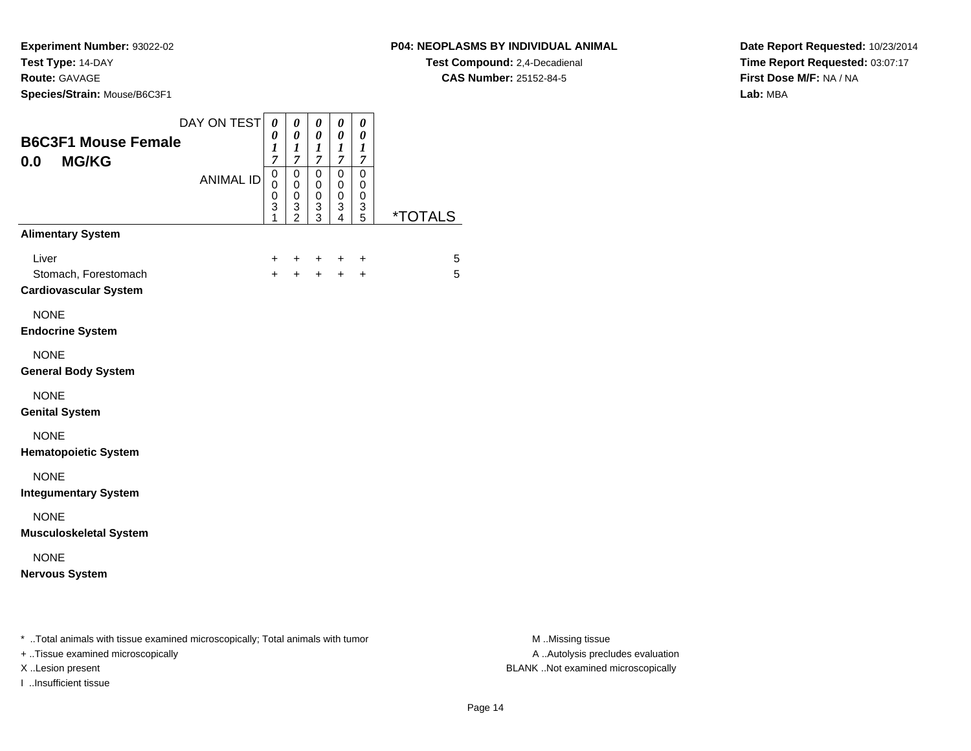**Experiment Number:** 93022-02**Test Type:** 14-DAY

### **Route:** GAVAGE

I ..Insufficient tissue

**Species/Strain:** Mouse/B6C3F1

**Test Compound:** 2,4-Decadienal **CAS Number:** 25152-84-5

**Date Report Requested:** 10/23/2014**Time Report Requested:** 03:07:17**First Dose M/F:** NA / NA**Lab:** MBA

| DAY ON TEST<br><b>B6C3F1 Mouse Female</b><br><b>MG/KG</b><br>0.0                                                    | $\boldsymbol{\theta}$<br>0<br>1<br>7<br>$\pmb{0}$ | 0<br>$\boldsymbol{\theta}$<br>$\boldsymbol{l}$<br>$\overline{7}$ | 0<br>$\boldsymbol{\theta}$<br>$\boldsymbol{l}$<br>$\overline{7}$<br>$\mathbf 0$ | $\pmb{\theta}$<br>$\pmb{\theta}$<br>$\boldsymbol{l}$<br>$\boldsymbol{7}$<br>$\overline{0}$ | 0<br>0<br>$\boldsymbol{l}$<br>$\boldsymbol{7}$<br>$\mathbf 0$ |                       |                                                      |
|---------------------------------------------------------------------------------------------------------------------|---------------------------------------------------|------------------------------------------------------------------|---------------------------------------------------------------------------------|--------------------------------------------------------------------------------------------|---------------------------------------------------------------|-----------------------|------------------------------------------------------|
| <b>ANIMAL ID</b>                                                                                                    | 0<br>0<br>3<br>1                                  | $\pmb{0}$<br>$\mathbf 0$<br>$\pmb{0}$<br>$\frac{3}{2}$           | 0<br>$\pmb{0}$<br>3<br>3                                                        | $\pmb{0}$<br>$\mathbf 0$<br>$\frac{3}{4}$                                                  | 0<br>0<br>$\ensuremath{\mathsf{3}}$<br>5                      | <i><b>*TOTALS</b></i> |                                                      |
| <b>Alimentary System</b>                                                                                            |                                                   |                                                                  |                                                                                 |                                                                                            |                                                               |                       |                                                      |
| Liver<br>Stomach, Forestomach<br><b>Cardiovascular System</b>                                                       | +<br>$\ddot{}$                                    | +                                                                |                                                                                 | +<br>$\ddot{}$                                                                             | +<br>$\ddot{}$                                                | 5<br>5                |                                                      |
| <b>NONE</b><br><b>Endocrine System</b>                                                                              |                                                   |                                                                  |                                                                                 |                                                                                            |                                                               |                       |                                                      |
| <b>NONE</b><br><b>General Body System</b>                                                                           |                                                   |                                                                  |                                                                                 |                                                                                            |                                                               |                       |                                                      |
| <b>NONE</b><br><b>Genital System</b>                                                                                |                                                   |                                                                  |                                                                                 |                                                                                            |                                                               |                       |                                                      |
| <b>NONE</b><br><b>Hematopoietic System</b>                                                                          |                                                   |                                                                  |                                                                                 |                                                                                            |                                                               |                       |                                                      |
| <b>NONE</b><br><b>Integumentary System</b>                                                                          |                                                   |                                                                  |                                                                                 |                                                                                            |                                                               |                       |                                                      |
| <b>NONE</b><br><b>Musculoskeletal System</b>                                                                        |                                                   |                                                                  |                                                                                 |                                                                                            |                                                               |                       |                                                      |
| <b>NONE</b><br><b>Nervous System</b>                                                                                |                                                   |                                                                  |                                                                                 |                                                                                            |                                                               |                       |                                                      |
| * Total animals with tissue examined microscopically; Total animals with tumor<br>+ Tissue examined microscopically |                                                   |                                                                  |                                                                                 |                                                                                            |                                                               |                       | M Missing tissue<br>A Autolysis precludes evaluation |

M ..Missing tissue X ..Lesion present BLANK ..Not examined microscopically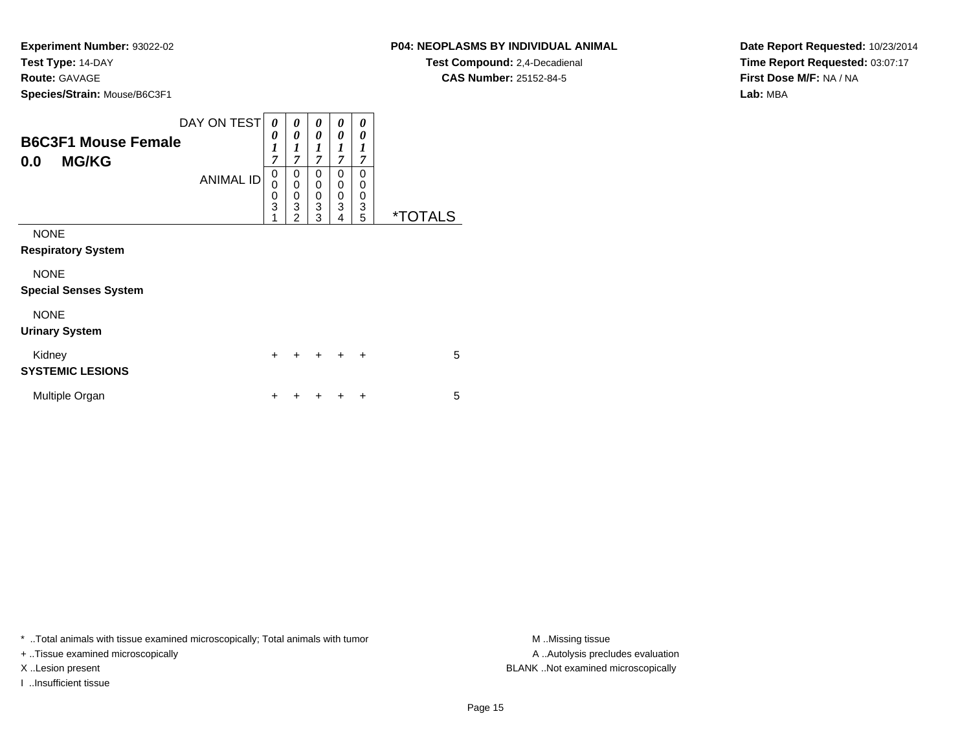**Experiment Number:** 93022-02**Test Type:** 14-DAY**Route:** GAVAGE

**Species/Strain:** Mouse/B6C3F1

| <b>Species/Strain: Mouse/B6C3F1</b> |                       |   |                       |   |   |  |
|-------------------------------------|-----------------------|---|-----------------------|---|---|--|
| DAY ON TEST                         | 0                     |   | $\boldsymbol{\theta}$ | 0 |   |  |
| <b>B6C3F1 Mouse Female</b>          | $\boldsymbol{\theta}$ | 0 | 0                     | 0 |   |  |
| <b>MG/KG</b><br>0.0                 | ~                     |   | −                     | 7 |   |  |
| ANIMAL ID                           | U                     |   | 0                     | 0 |   |  |
|                                     |                       |   | 0                     | 0 |   |  |
|                                     | 0                     | 0 | 0                     | 0 |   |  |
|                                     | 3                     | 3 | 3                     | 3 | ว |  |
|                                     |                       |   | 3                     | 4 |   |  |

NONE

**Respiratory System**

NONE

**Special Senses System**

NONE

**Urinary System**

| Kidney<br><b>SYSTEMIC LESIONS</b> |  | + + + + + |  | 5 |
|-----------------------------------|--|-----------|--|---|
| Multiple Organ                    |  | + + + + + |  | 5 |

\* ..Total animals with tissue examined microscopically; Total animals with tumor **M** ...Missing tissue M ...Missing tissue

+ ..Tissue examined microscopically

I ..Insufficient tissue

**P04: NEOPLASMS BY INDIVIDUAL ANIMAL**

**Test Compound:** 2,4-Decadienal **CAS Number:** 25152-84-5

**Date Report Requested:** 10/23/2014**Time Report Requested:** 03:07:17**First Dose M/F:** NA / NA**Lab:** MBA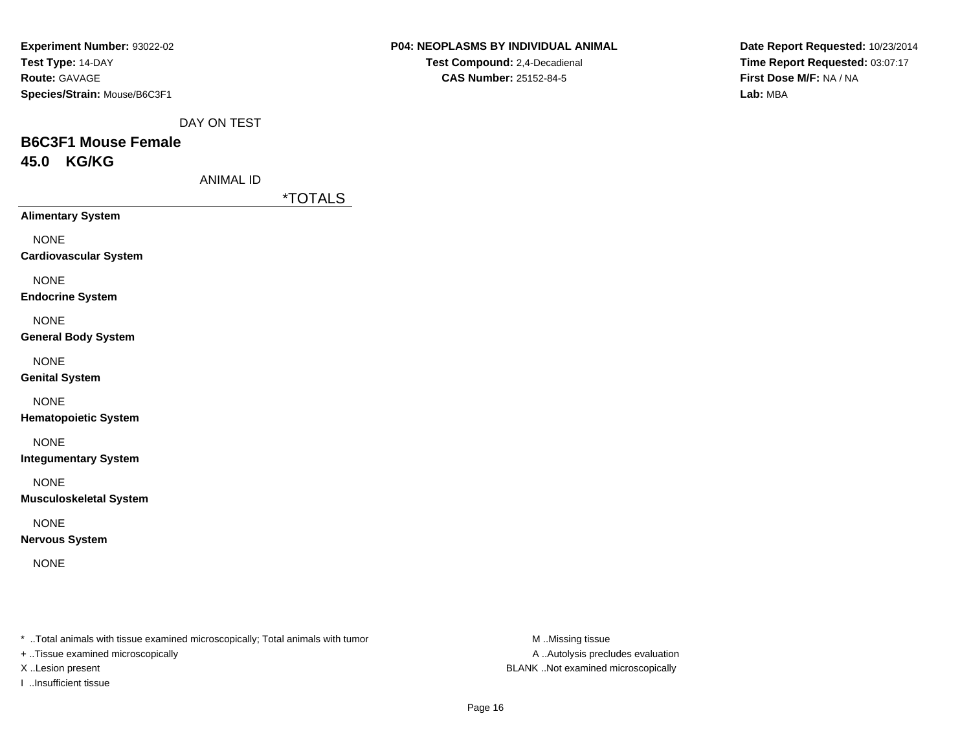| Experiment Number: 93022-02  |
|------------------------------|
| Test Type: 14-DAY            |
| <b>Route: GAVAGE</b>         |
| Species/Strain: Mouse/B6C3F1 |

**CAS Number:** 25152-84-5

**Date Report Requested:** 10/23/2014**Time Report Requested:** 03:07:17**First Dose M/F:** NA / NA**Lab:** MBA

DAY ON TEST

## **B6C3F1 Mouse Female45.0 KG/KG**

ANIMAL ID

\*TOTALS

**Alimentary System**

NONE

**Cardiovascular System**

NONE

**Endocrine System**

NONE

**General Body System**

NONE

**Genital System**

NONE

**Hematopoietic System**

NONE

**Integumentary System**

NONE

**Musculoskeletal System**

NONE

**Nervous System**

NONE

\* ..Total animals with tissue examined microscopically; Total animals with tumor **M** ..Missing tissue M ..Missing tissue

+ ..Tissue examined microscopically

I ..Insufficient tissue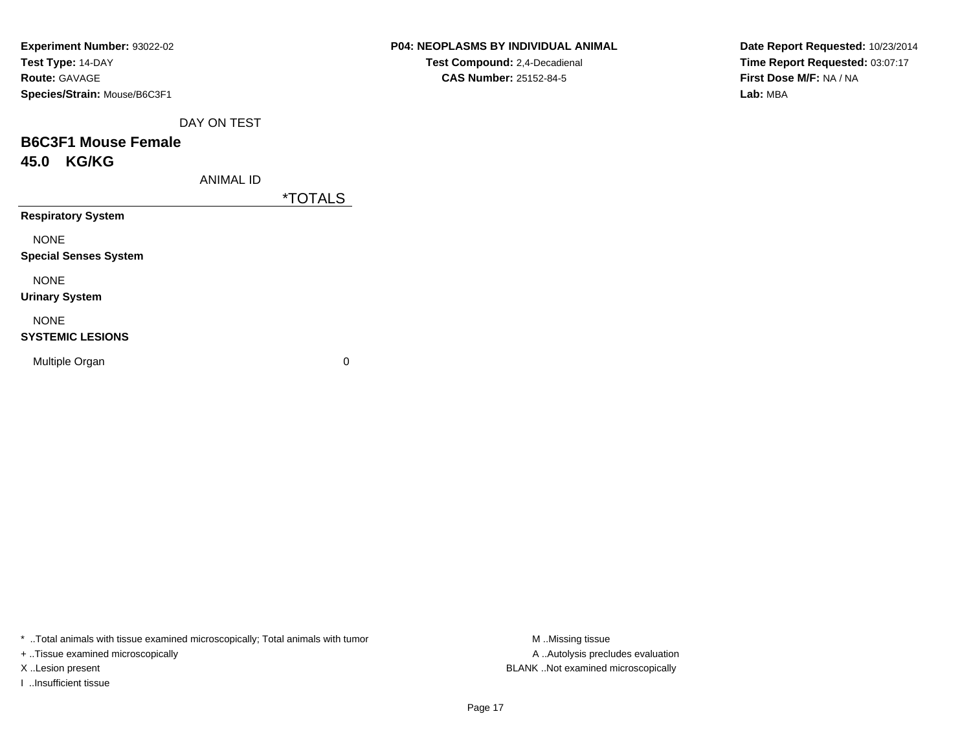| Experiment Number: 93022-02  |
|------------------------------|
| Test Type: 14-DAY            |
| <b>Route: GAVAGE</b>         |
| Species/Strain: Mouse/B6C3F1 |

**CAS Number:** 25152-84-5

**Date Report Requested:** 10/23/2014**Time Report Requested:** 03:07:17**First Dose M/F:** NA / NA**Lab:** MBA

DAY ON TEST

## **B6C3F1 Mouse Female45.0 KG/KG**

ANIMAL ID

\*TOTALS

**Respiratory System**

NONE

**Special Senses System**

NONE

**Urinary System**

NONE

### **SYSTEMIC LESIONS**

Multiple Organ

 $\mathbf n$  0

\* ..Total animals with tissue examined microscopically; Total animals with tumor **M** ...Missing tissue M ...Missing tissue

+ ..Tissue examined microscopically

I ..Insufficient tissue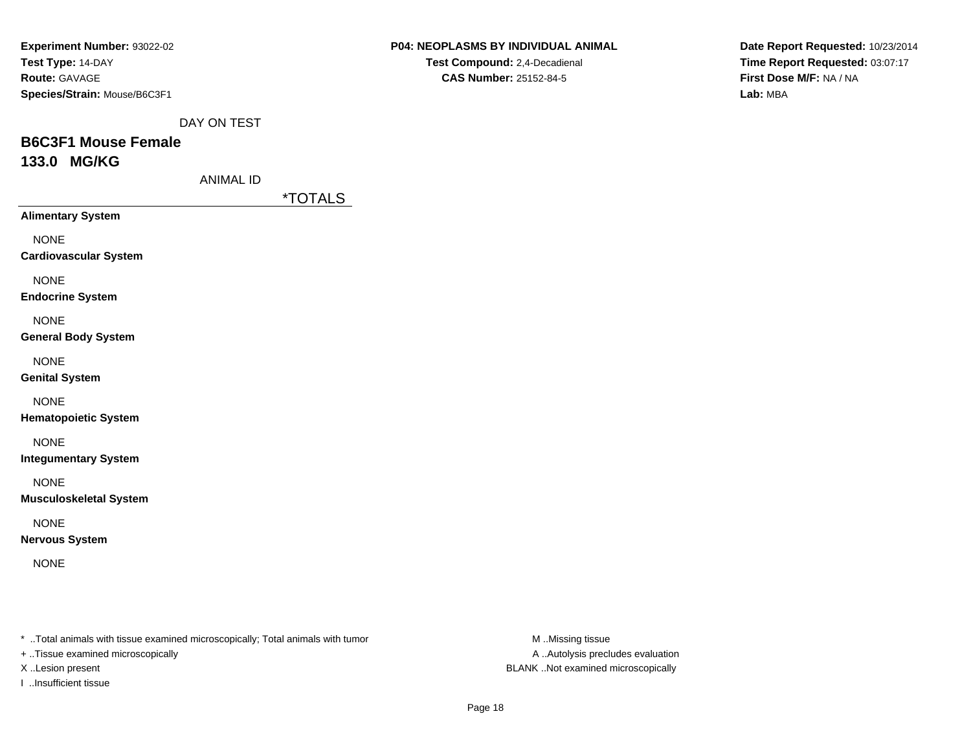| <b>Experiment Number: 93022-02</b> |
|------------------------------------|
| Test Type: 14-DAY                  |
| <b>Route: GAVAGE</b>               |
| Species/Strain: Mouse/B6C3F1       |

**Date Report Requested:** 10/23/2014**Time Report Requested:** 03:07:17**First Dose M/F:** NA / NA**Lab:** MBA

DAY ON TEST

## **B6C3F1 Mouse Female133.0 MG/KG**

ANIMAL ID

\*TOTALS

**Alimentary System**

NONE

**Cardiovascular System**

NONE

**Endocrine System**

NONE

**General Body System**

NONE

**Genital System**

NONE

**Hematopoietic System**

NONE

**Integumentary System**

NONE

**Musculoskeletal System**

NONE

**Nervous System**

NONE

\* ..Total animals with tissue examined microscopically; Total animals with tumor **M** ..Missing tissue M ..Missing tissue

+ ..Tissue examined microscopically

I ..Insufficient tissue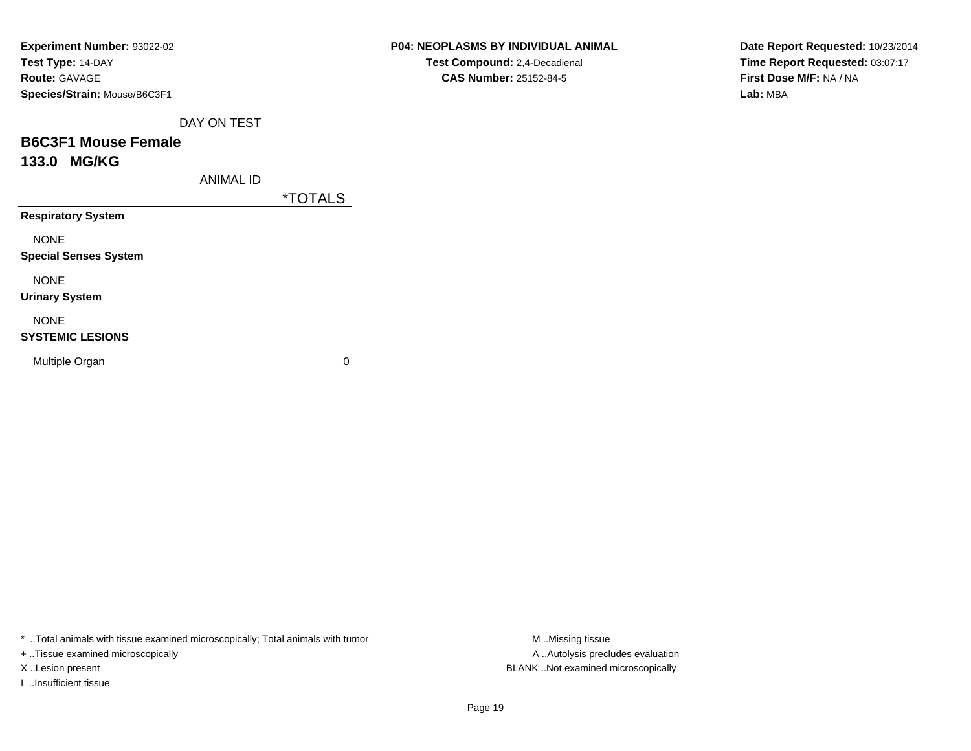| <b>Experiment Number: 93022-02</b> |
|------------------------------------|
| Test Type: 14-DAY                  |
| <b>Route: GAVAGE</b>               |
| Species/Strain: Mouse/B6C3F1       |

**CAS Number:** 25152-84-5

**Date Report Requested:** 10/23/2014**Time Report Requested:** 03:07:17**First Dose M/F:** NA / NA**Lab:** MBA

DAY ON TEST

## **B6C3F1 Mouse Female133.0 MG/KG**

ANIMAL ID

\*TOTALS

**Respiratory System**

NONE

**Special Senses System**

NONE

**Urinary System**

NONE

### **SYSTEMIC LESIONS**

Multiple Organ

 $\mathbf n$  0

\* ..Total animals with tissue examined microscopically; Total animals with tumor **M** ...Missing tissue M ...Missing tissue

+ ..Tissue examined microscopically

I ..Insufficient tissue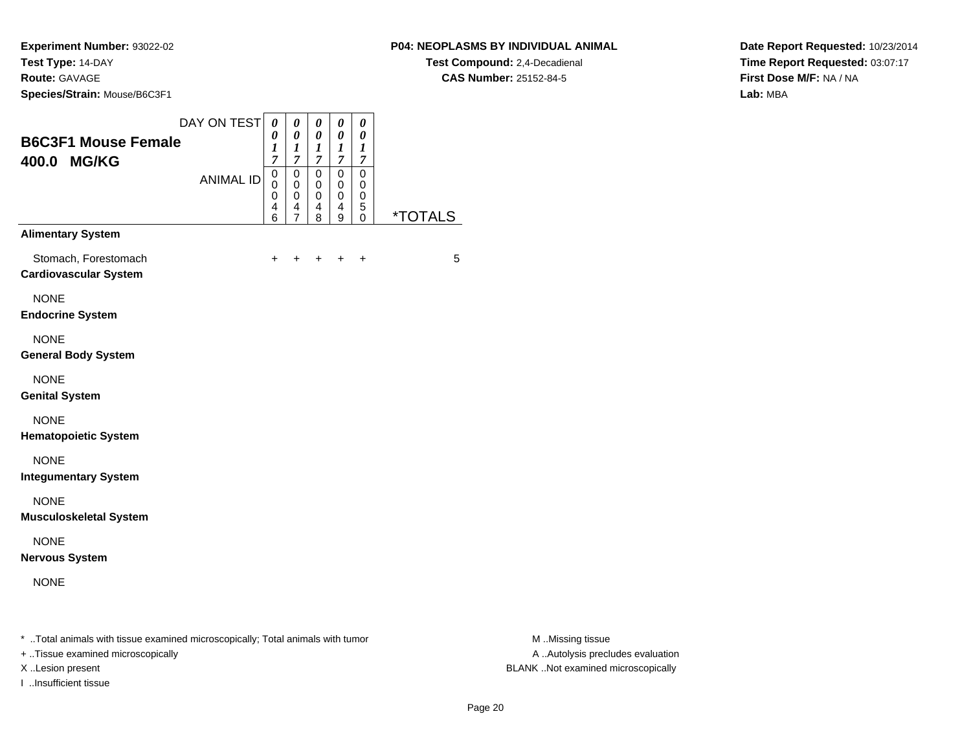### **P04: NEOPLASMS BY INDIVIDUAL ANIMAL**

**Test Compound:** 2,4-Decadienal **CAS Number:** 25152-84-5

**Date Report Requested:** 10/23/2014**Time Report Requested:** 03:07:17**First Dose M/F:** NA / NA**Lab:** MBA

| 400.0 MG/KG                                                                    | <b>ANIMAL ID</b> | $\overline{7}$<br>$\pmb{0}$<br>0<br>0<br>4 | 7<br>$\pmb{0}$<br>$\pmb{0}$ | $\overline{7}$<br>$\pmb{0}$                       | $\boldsymbol{7}$<br>$\pmb{0}$                 | $\boldsymbol{7}$                                |                       |                  |
|--------------------------------------------------------------------------------|------------------|--------------------------------------------|-----------------------------|---------------------------------------------------|-----------------------------------------------|-------------------------------------------------|-----------------------|------------------|
|                                                                                |                  | 6                                          | 0<br>4<br>$\overline{7}$    | $\mathbf 0$<br>$\mathbf 0$<br>$\overline{4}$<br>8 | $\pmb{0}$<br>$\pmb{0}$<br>$\overline{4}$<br>9 | $\mathbf 0$<br>$\pmb{0}$<br>0<br>5<br>$\pmb{0}$ | <i><b>*TOTALS</b></i> |                  |
| <b>Alimentary System</b>                                                       |                  |                                            |                             |                                                   |                                               |                                                 |                       |                  |
| Stomach, Forestomach<br><b>Cardiovascular System</b>                           |                  | $\ddot{}$                                  |                             |                                                   |                                               | $\ddot{}$                                       | 5                     |                  |
| <b>NONE</b><br><b>Endocrine System</b>                                         |                  |                                            |                             |                                                   |                                               |                                                 |                       |                  |
| <b>NONE</b><br><b>General Body System</b>                                      |                  |                                            |                             |                                                   |                                               |                                                 |                       |                  |
| <b>NONE</b><br><b>Genital System</b>                                           |                  |                                            |                             |                                                   |                                               |                                                 |                       |                  |
| <b>NONE</b><br><b>Hematopoietic System</b>                                     |                  |                                            |                             |                                                   |                                               |                                                 |                       |                  |
| <b>NONE</b><br><b>Integumentary System</b>                                     |                  |                                            |                             |                                                   |                                               |                                                 |                       |                  |
| <b>NONE</b><br><b>Musculoskeletal System</b>                                   |                  |                                            |                             |                                                   |                                               |                                                 |                       |                  |
| <b>NONE</b><br><b>Nervous System</b>                                           |                  |                                            |                             |                                                   |                                               |                                                 |                       |                  |
| <b>NONE</b>                                                                    |                  |                                            |                             |                                                   |                                               |                                                 |                       |                  |
| * Total animals with tissue examined microscopically; Total animals with tumor |                  |                                            |                             |                                                   |                                               |                                                 |                       | M Missing tissue |

+ ..Tissue examined microscopically

I ..Insufficient tissue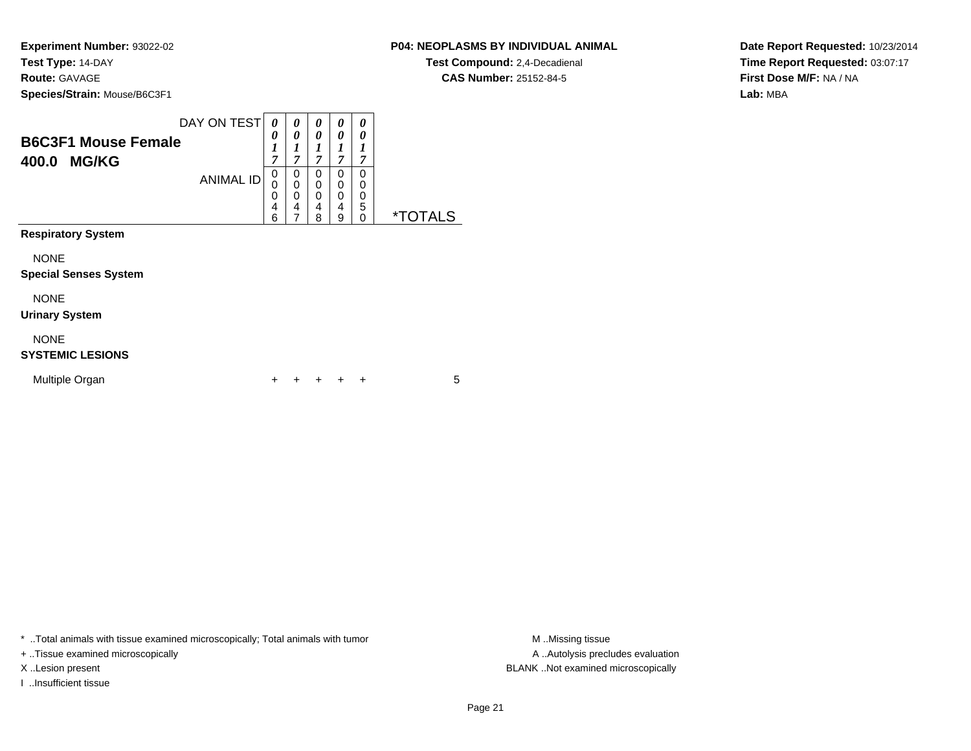### **P04: NEOPLASMS BY INDIVIDUAL ANIMAL**

**Test Compound:** 2,4-Decadienal **CAS Number:** 25152-84-5

**Date Report Requested:** 10/23/2014**Time Report Requested:** 03:07:17**First Dose M/F:** NA / NA**Lab:** MBA

| <b>B6C3F1 Mouse Female</b><br>400.0<br><b>MG/KG</b> | DAY ON TEST<br><b>ANIMAL ID</b> | 0<br>0<br>1<br>7<br>0<br>0<br>0<br>4<br>6 | 0<br>0<br>1<br>7<br>0<br>$\mathbf 0$<br>0<br>4<br>7 | 0<br>0<br>1<br>$\overline{7}$<br>0<br>0<br>0<br>4<br>8 | 0<br>0<br>1<br>7<br>0<br>0<br>$\mathbf 0$<br>4<br>9 | 0<br>0<br>1<br>7<br>0<br>0<br>0<br>$\mathbf 5$<br>0 | <i><b>*TOTALS</b></i> |  |
|-----------------------------------------------------|---------------------------------|-------------------------------------------|-----------------------------------------------------|--------------------------------------------------------|-----------------------------------------------------|-----------------------------------------------------|-----------------------|--|
| <b>Respiratory System</b>                           |                                 |                                           |                                                     |                                                        |                                                     |                                                     |                       |  |
| <b>NONE</b><br><b>Special Senses System</b>         |                                 |                                           |                                                     |                                                        |                                                     |                                                     |                       |  |
| <b>NONE</b><br><b>Urinary System</b>                |                                 |                                           |                                                     |                                                        |                                                     |                                                     |                       |  |
| <b>NONE</b><br><b>SYSTEMIC LESIONS</b>              |                                 |                                           |                                                     |                                                        |                                                     |                                                     |                       |  |
| Multiple Organ                                      |                                 | ┿                                         |                                                     |                                                        |                                                     | ÷                                                   | 5                     |  |

\* ..Total animals with tissue examined microscopically; Total animals with tumor **M** . Missing tissue M ..Missing tissue

+ ..Tissue examined microscopically

I ..Insufficient tissue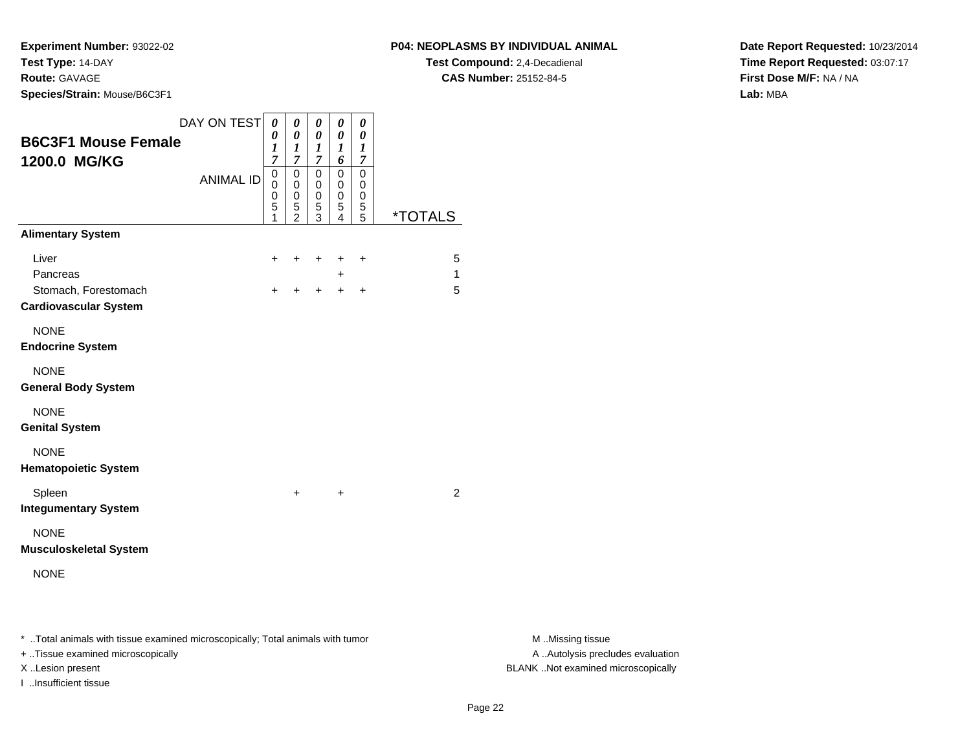**Experiment Number:** 93022-02**Test Type:** 14-DAY**Route:** GAVAGE

**Species/Strain:** Mouse/B6C3F1

**Test Compound:** 2,4-Decadienal **CAS Number:** 25152-84-5

**Date Report Requested:** 10/23/2014**Time Report Requested:** 03:07:17**First Dose M/F:** NA / NA**Lab:** MBA

| <b>B6C3F1 Mouse Female</b>                                                     | DAY ON TEST      | 0<br>0<br>$\boldsymbol{l}$                        | 0<br>$\boldsymbol{\theta}$<br>$\boldsymbol{l}$                        | 0<br>0<br>$\boldsymbol{l}$                                            | 0<br>$\boldsymbol{\theta}$<br>$\bm{l}$            | 0<br>$\boldsymbol{\theta}$<br>$\boldsymbol{l}$                           |                       |
|--------------------------------------------------------------------------------|------------------|---------------------------------------------------|-----------------------------------------------------------------------|-----------------------------------------------------------------------|---------------------------------------------------|--------------------------------------------------------------------------|-----------------------|
| 1200.0 MG/KG                                                                   | <b>ANIMAL ID</b> | $\overline{7}$<br>$\mathbf 0$<br>0<br>0<br>5<br>1 | $\overline{7}$<br>$\Omega$<br>$\mathbf 0$<br>0<br>5<br>$\overline{2}$ | $\overline{7}$<br>$\Omega$<br>0<br>$\mathbf 0$<br>5<br>$\overline{3}$ | 6<br>$\mathbf 0$<br>0<br>0<br>5<br>$\overline{4}$ | $\boldsymbol{7}$<br>$\mathbf 0$<br>0<br>$\pmb{0}$<br>5<br>$\overline{5}$ | <i><b>*TOTALS</b></i> |
| <b>Alimentary System</b>                                                       |                  |                                                   |                                                                       |                                                                       |                                                   |                                                                          |                       |
| Liver<br>Pancreas<br>Stomach, Forestomach<br><b>Cardiovascular System</b>      |                  | +<br>$\ddot{}$                                    | +                                                                     | $\ddot{}$<br>$\ddot{}$                                                | +<br>$\ddot{}$<br>$+$                             | $\ddot{}$<br>$\ddot{}$                                                   | 5<br>1<br>5           |
| <b>NONE</b><br><b>Endocrine System</b>                                         |                  |                                                   |                                                                       |                                                                       |                                                   |                                                                          |                       |
| <b>NONE</b><br><b>General Body System</b>                                      |                  |                                                   |                                                                       |                                                                       |                                                   |                                                                          |                       |
| <b>NONE</b><br><b>Genital System</b>                                           |                  |                                                   |                                                                       |                                                                       |                                                   |                                                                          |                       |
| <b>NONE</b><br><b>Hematopoietic System</b>                                     |                  |                                                   |                                                                       |                                                                       |                                                   |                                                                          |                       |
| Spleen<br><b>Integumentary System</b>                                          |                  |                                                   | $\ddot{}$                                                             |                                                                       | $\ddot{}$                                         |                                                                          | 2                     |
| <b>NONE</b><br><b>Musculoskeletal System</b>                                   |                  |                                                   |                                                                       |                                                                       |                                                   |                                                                          |                       |
| <b>NONE</b>                                                                    |                  |                                                   |                                                                       |                                                                       |                                                   |                                                                          |                       |
| * Total animals with tissue examined microscopically; Total animals with tumor |                  |                                                   |                                                                       |                                                                       |                                                   |                                                                          |                       |

+ ..Tissue examined microscopically

I ..Insufficient tissue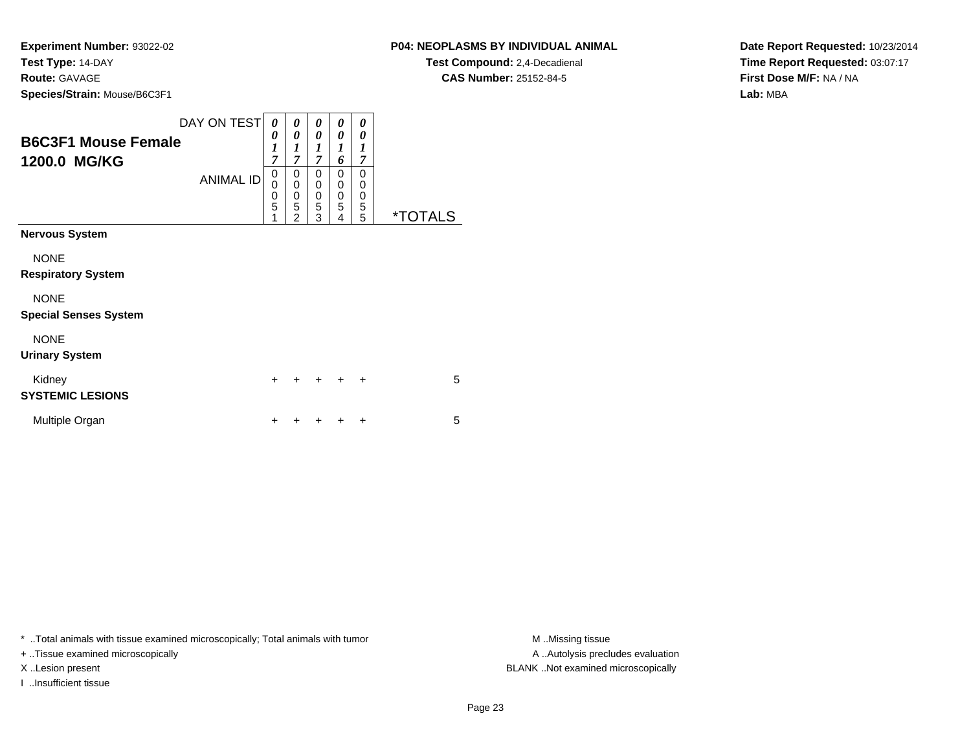### **P04: NEOPLASMS BY INDIVIDUAL ANIMAL**

**Test Compound:** 2,4-Decadienal **CAS Number:** 25152-84-5

**Date Report Requested:** 10/23/2014**Time Report Requested:** 03:07:17**First Dose M/F:** NA / NA**Lab:** MBA

| <b>B6C3F1 Mouse Female</b><br>1200.0 MG/KG                                                                       | DAY ON TEST<br><b>ANIMAL ID</b> | 0<br>0<br>1<br>$\overline{7}$<br>0<br>$\mathbf 0$<br>0<br>5 | 0<br>0<br>1<br>$\overline{7}$<br>0<br>0<br>0<br>5 | 0<br>0<br>1<br>$\overline{7}$<br>0<br>$\mathbf 0$<br>$\mathbf 0$<br>5 | 0<br>0<br>1<br>6<br>$\Omega$<br>$\mathbf 0$<br>$\mathbf 0$<br>5 | 0<br>0<br>1<br>$\overline{7}$<br>0<br>0<br>0<br>5 |         |
|------------------------------------------------------------------------------------------------------------------|---------------------------------|-------------------------------------------------------------|---------------------------------------------------|-----------------------------------------------------------------------|-----------------------------------------------------------------|---------------------------------------------------|---------|
|                                                                                                                  |                                 | 1                                                           | $\overline{2}$                                    | 3                                                                     | 4                                                               | 5                                                 | *TOTALS |
| <b>Nervous System</b><br><b>NONE</b><br><b>Respiratory System</b><br><b>NONE</b><br><b>Special Senses System</b> |                                 |                                                             |                                                   |                                                                       |                                                                 |                                                   |         |
| <b>NONE</b><br><b>Urinary System</b>                                                                             |                                 |                                                             |                                                   |                                                                       |                                                                 |                                                   |         |
| Kidney<br><b>SYSTEMIC LESIONS</b>                                                                                |                                 | $\div$                                                      | ÷                                                 | $\div$                                                                | ÷                                                               | $\ddot{}$                                         | 5       |
| Multiple Organ                                                                                                   |                                 |                                                             |                                                   |                                                                       |                                                                 | +                                                 | 5       |

\* ..Total animals with tissue examined microscopically; Total animals with tumor **M** . Missing tissue M ..Missing tissue

+ ..Tissue examined microscopically

I ..Insufficient tissue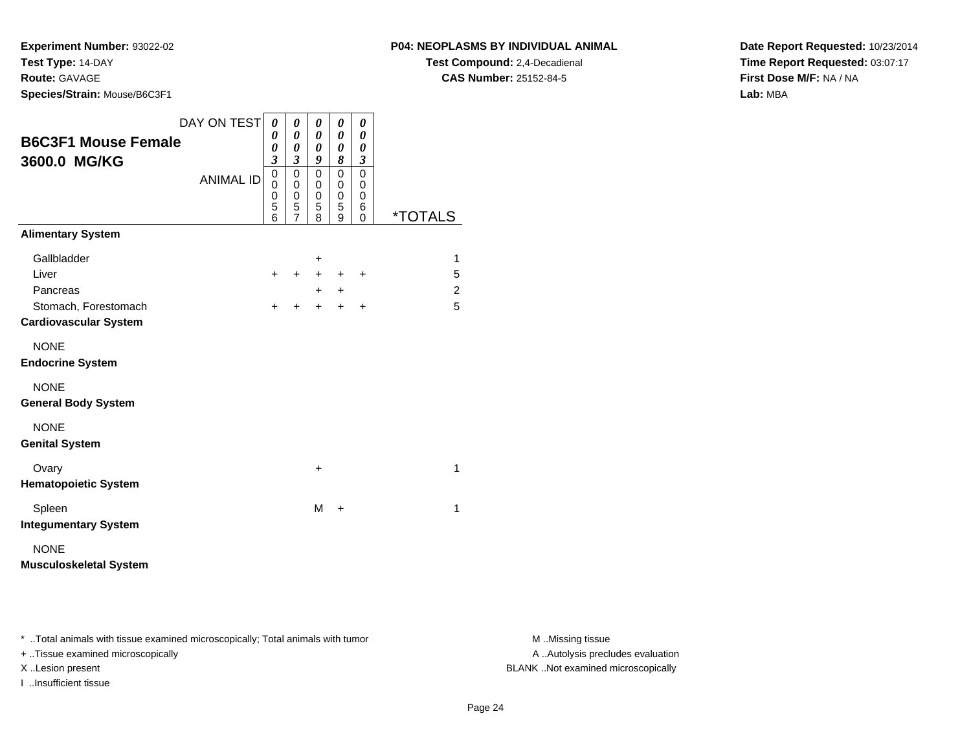**Experiment Number:** 93022-02**Test Type:** 14-DAY**Route:** GAVAGE

**Species/Strain:** Mouse/B6C3F1

**Test Compound:** 2,4-Decadienal **CAS Number:** 25152-84-5

**Date Report Requested:** 10/23/2014**Time Report Requested:** 03:07:17**First Dose M/F:** NA / NA**Lab:** MBA

| <b>B6C3F1 Mouse Female</b><br>3600.0 MG/KG           | DAY ON TEST<br><b>ANIMAL ID</b> | 0<br>0<br>0<br>3<br>0<br>0<br>0<br>5 | 0<br>$\boldsymbol{\theta}$<br>0<br>$\overline{\mathbf{3}}$<br>$\mathsf 0$<br>$\mathbf 0$<br>0<br>5 | 0<br>0<br>0<br>9<br>$\mathbf 0$<br>$\mathbf 0$<br>$\mathbf 0$<br>5 | 0<br>0<br>0<br>8<br>$\mathbf 0$<br>0<br>0<br>5 | 0<br>0<br>0<br>$\boldsymbol{\beta}$<br>$\mathbf 0$<br>0<br>$\mathbf 0$<br>6 |                       |
|------------------------------------------------------|---------------------------------|--------------------------------------|----------------------------------------------------------------------------------------------------|--------------------------------------------------------------------|------------------------------------------------|-----------------------------------------------------------------------------|-----------------------|
|                                                      |                                 | 6                                    | $\overline{7}$                                                                                     | 8                                                                  | 9                                              | 0                                                                           | <i><b>*TOTALS</b></i> |
| <b>Alimentary System</b>                             |                                 |                                      |                                                                                                    |                                                                    |                                                |                                                                             |                       |
| Gallbladder                                          |                                 |                                      |                                                                                                    | +                                                                  |                                                |                                                                             | 1                     |
| Liver                                                |                                 | +                                    | $\ddot{}$                                                                                          | $\ddot{}$                                                          | $\ddot{}$                                      | $\ddot{}$                                                                   | 5                     |
| Pancreas                                             |                                 |                                      |                                                                                                    | $\pm$                                                              | +                                              |                                                                             | 2                     |
| Stomach, Forestomach<br><b>Cardiovascular System</b> |                                 | ÷                                    | $\div$                                                                                             | $\ddot{}$                                                          | ÷                                              | $\ddot{}$                                                                   | 5                     |
| <b>NONE</b><br><b>Endocrine System</b>               |                                 |                                      |                                                                                                    |                                                                    |                                                |                                                                             |                       |
| <b>NONE</b><br><b>General Body System</b>            |                                 |                                      |                                                                                                    |                                                                    |                                                |                                                                             |                       |
| <b>NONE</b><br><b>Genital System</b>                 |                                 |                                      |                                                                                                    |                                                                    |                                                |                                                                             |                       |
| Ovary<br><b>Hematopoietic System</b>                 |                                 |                                      |                                                                                                    | +                                                                  |                                                |                                                                             | $\mathbf{1}$          |
| Spleen<br><b>Integumentary System</b>                |                                 |                                      |                                                                                                    | M                                                                  | $\ddot{}$                                      |                                                                             | 1                     |
| <b>NONE</b><br><b>Musculoskeletal System</b>         |                                 |                                      |                                                                                                    |                                                                    |                                                |                                                                             |                       |

\* ..Total animals with tissue examined microscopically; Total animals with tumor **M** . Missing tissue M ..Missing tissue

+ ..Tissue examined microscopically

I ..Insufficient tissue